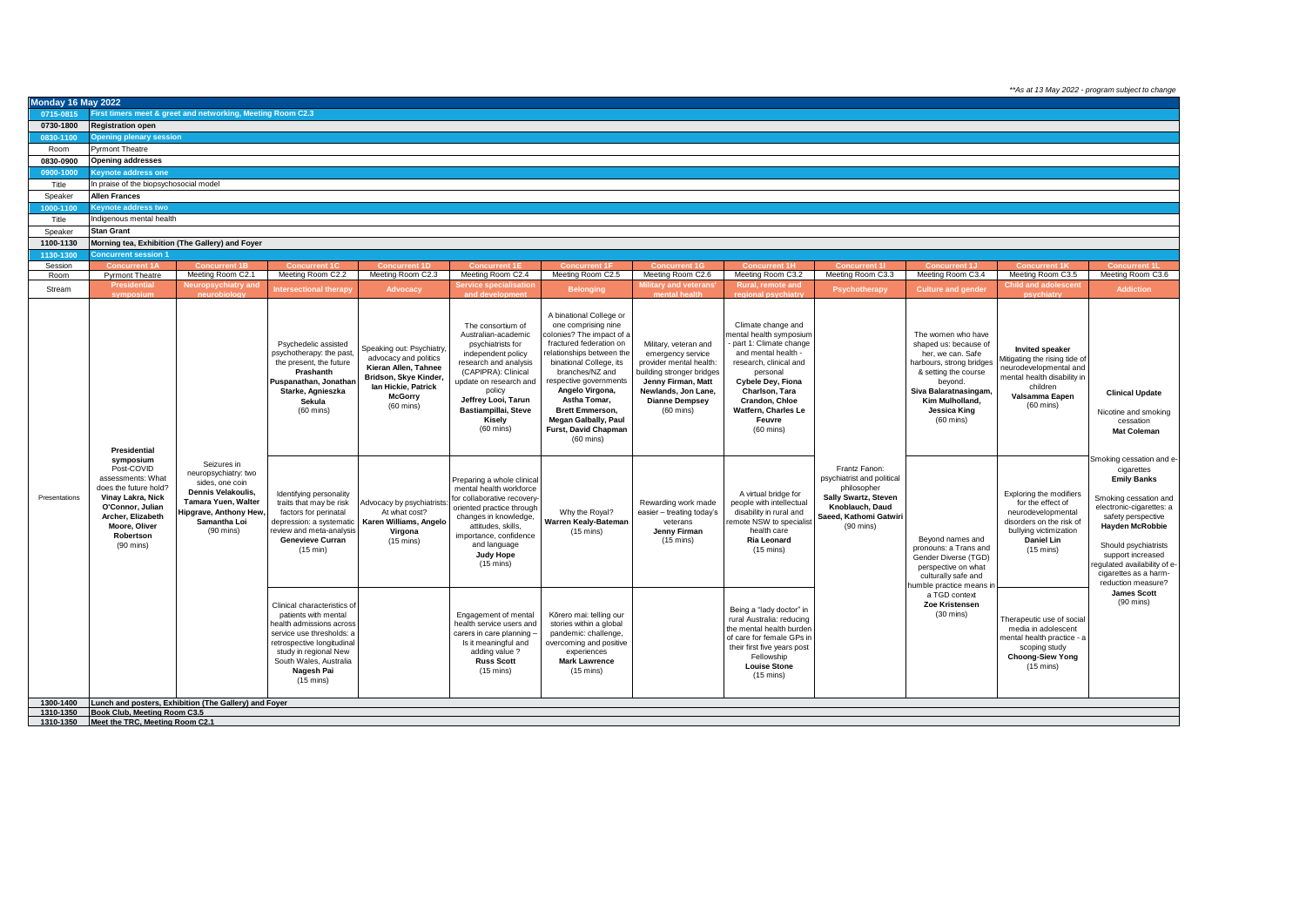*\*\*As at 13 May 2022 - program subject to change*

| <b>Monday 16 May 2022</b> |                                                                                                                                                                                  |                                                                                                                                                                      |                                                                                                                                                                                                                                    |                                                                                                                                                                     |                                                                                                                                                                                                                                                         |                                                                                                                                                                                                                                                                                                                                                        |                                                                                                                                                                                                 |                                                                                                                                                                                                                                                      |                                                                                                                                                                                                                                                                                               |                                                                                                                                                                                                                           |                                                                                                                                                                                                                                                                                                                    |                                                                                   |
|---------------------------|----------------------------------------------------------------------------------------------------------------------------------------------------------------------------------|----------------------------------------------------------------------------------------------------------------------------------------------------------------------|------------------------------------------------------------------------------------------------------------------------------------------------------------------------------------------------------------------------------------|---------------------------------------------------------------------------------------------------------------------------------------------------------------------|---------------------------------------------------------------------------------------------------------------------------------------------------------------------------------------------------------------------------------------------------------|--------------------------------------------------------------------------------------------------------------------------------------------------------------------------------------------------------------------------------------------------------------------------------------------------------------------------------------------------------|-------------------------------------------------------------------------------------------------------------------------------------------------------------------------------------------------|------------------------------------------------------------------------------------------------------------------------------------------------------------------------------------------------------------------------------------------------------|-----------------------------------------------------------------------------------------------------------------------------------------------------------------------------------------------------------------------------------------------------------------------------------------------|---------------------------------------------------------------------------------------------------------------------------------------------------------------------------------------------------------------------------|--------------------------------------------------------------------------------------------------------------------------------------------------------------------------------------------------------------------------------------------------------------------------------------------------------------------|-----------------------------------------------------------------------------------|
| 0715-0815                 |                                                                                                                                                                                  | First timers meet & greet and networking, Meeting Room C2.3                                                                                                          |                                                                                                                                                                                                                                    |                                                                                                                                                                     |                                                                                                                                                                                                                                                         |                                                                                                                                                                                                                                                                                                                                                        |                                                                                                                                                                                                 |                                                                                                                                                                                                                                                      |                                                                                                                                                                                                                                                                                               |                                                                                                                                                                                                                           |                                                                                                                                                                                                                                                                                                                    |                                                                                   |
| 0730-1800                 | <b>Registration open</b>                                                                                                                                                         |                                                                                                                                                                      |                                                                                                                                                                                                                                    |                                                                                                                                                                     |                                                                                                                                                                                                                                                         |                                                                                                                                                                                                                                                                                                                                                        |                                                                                                                                                                                                 |                                                                                                                                                                                                                                                      |                                                                                                                                                                                                                                                                                               |                                                                                                                                                                                                                           |                                                                                                                                                                                                                                                                                                                    |                                                                                   |
| 0830-1100                 | <b>Opening plenary session</b>                                                                                                                                                   |                                                                                                                                                                      |                                                                                                                                                                                                                                    |                                                                                                                                                                     |                                                                                                                                                                                                                                                         |                                                                                                                                                                                                                                                                                                                                                        |                                                                                                                                                                                                 |                                                                                                                                                                                                                                                      |                                                                                                                                                                                                                                                                                               |                                                                                                                                                                                                                           |                                                                                                                                                                                                                                                                                                                    |                                                                                   |
| Room                      | Pyrmont Theatre                                                                                                                                                                  |                                                                                                                                                                      |                                                                                                                                                                                                                                    |                                                                                                                                                                     |                                                                                                                                                                                                                                                         |                                                                                                                                                                                                                                                                                                                                                        |                                                                                                                                                                                                 |                                                                                                                                                                                                                                                      |                                                                                                                                                                                                                                                                                               |                                                                                                                                                                                                                           |                                                                                                                                                                                                                                                                                                                    |                                                                                   |
| 0830-0900                 | <b>Opening addresses</b>                                                                                                                                                         |                                                                                                                                                                      |                                                                                                                                                                                                                                    |                                                                                                                                                                     |                                                                                                                                                                                                                                                         |                                                                                                                                                                                                                                                                                                                                                        |                                                                                                                                                                                                 |                                                                                                                                                                                                                                                      |                                                                                                                                                                                                                                                                                               |                                                                                                                                                                                                                           |                                                                                                                                                                                                                                                                                                                    |                                                                                   |
| 0900-1000                 | <b>Seynote address one</b>                                                                                                                                                       |                                                                                                                                                                      |                                                                                                                                                                                                                                    |                                                                                                                                                                     |                                                                                                                                                                                                                                                         |                                                                                                                                                                                                                                                                                                                                                        |                                                                                                                                                                                                 |                                                                                                                                                                                                                                                      |                                                                                                                                                                                                                                                                                               |                                                                                                                                                                                                                           |                                                                                                                                                                                                                                                                                                                    |                                                                                   |
| Title                     | n praise of the biopsychosocial model                                                                                                                                            |                                                                                                                                                                      |                                                                                                                                                                                                                                    |                                                                                                                                                                     |                                                                                                                                                                                                                                                         |                                                                                                                                                                                                                                                                                                                                                        |                                                                                                                                                                                                 |                                                                                                                                                                                                                                                      |                                                                                                                                                                                                                                                                                               |                                                                                                                                                                                                                           |                                                                                                                                                                                                                                                                                                                    |                                                                                   |
| Speaker                   | <b>Allen Frances</b>                                                                                                                                                             |                                                                                                                                                                      |                                                                                                                                                                                                                                    |                                                                                                                                                                     |                                                                                                                                                                                                                                                         |                                                                                                                                                                                                                                                                                                                                                        |                                                                                                                                                                                                 |                                                                                                                                                                                                                                                      |                                                                                                                                                                                                                                                                                               |                                                                                                                                                                                                                           |                                                                                                                                                                                                                                                                                                                    |                                                                                   |
| 1000-1100                 | <b>Seynote address two</b>                                                                                                                                                       |                                                                                                                                                                      |                                                                                                                                                                                                                                    |                                                                                                                                                                     |                                                                                                                                                                                                                                                         |                                                                                                                                                                                                                                                                                                                                                        |                                                                                                                                                                                                 |                                                                                                                                                                                                                                                      |                                                                                                                                                                                                                                                                                               |                                                                                                                                                                                                                           |                                                                                                                                                                                                                                                                                                                    |                                                                                   |
| Title                     | ndigenous mental health                                                                                                                                                          |                                                                                                                                                                      |                                                                                                                                                                                                                                    |                                                                                                                                                                     |                                                                                                                                                                                                                                                         |                                                                                                                                                                                                                                                                                                                                                        |                                                                                                                                                                                                 |                                                                                                                                                                                                                                                      |                                                                                                                                                                                                                                                                                               |                                                                                                                                                                                                                           |                                                                                                                                                                                                                                                                                                                    |                                                                                   |
| Speaker                   | <b>Stan Grant</b>                                                                                                                                                                |                                                                                                                                                                      |                                                                                                                                                                                                                                    |                                                                                                                                                                     |                                                                                                                                                                                                                                                         |                                                                                                                                                                                                                                                                                                                                                        |                                                                                                                                                                                                 |                                                                                                                                                                                                                                                      |                                                                                                                                                                                                                                                                                               |                                                                                                                                                                                                                           |                                                                                                                                                                                                                                                                                                                    |                                                                                   |
| 1100-1130                 |                                                                                                                                                                                  | Morning tea, Exhibition (The Gallery) and Foyer                                                                                                                      |                                                                                                                                                                                                                                    |                                                                                                                                                                     |                                                                                                                                                                                                                                                         |                                                                                                                                                                                                                                                                                                                                                        |                                                                                                                                                                                                 |                                                                                                                                                                                                                                                      |                                                                                                                                                                                                                                                                                               |                                                                                                                                                                                                                           |                                                                                                                                                                                                                                                                                                                    |                                                                                   |
| 1130-1300                 | oncurrent session 1                                                                                                                                                              |                                                                                                                                                                      |                                                                                                                                                                                                                                    |                                                                                                                                                                     |                                                                                                                                                                                                                                                         |                                                                                                                                                                                                                                                                                                                                                        |                                                                                                                                                                                                 |                                                                                                                                                                                                                                                      |                                                                                                                                                                                                                                                                                               |                                                                                                                                                                                                                           |                                                                                                                                                                                                                                                                                                                    |                                                                                   |
| Session<br>Room           | <b>Pyrmont Theatre</b>                                                                                                                                                           | Meeting Room C2.1                                                                                                                                                    | Meeting Room C2.2                                                                                                                                                                                                                  | Meeting Room C2.3                                                                                                                                                   | Meeting Room C2.4                                                                                                                                                                                                                                       | Meeting Room C2.5                                                                                                                                                                                                                                                                                                                                      | Meeting Room C2.6                                                                                                                                                                               | Meeting Room C3.2                                                                                                                                                                                                                                    | Meeting Room C3.3                                                                                                                                                                                                                                                                             | Meeting Room C3.4                                                                                                                                                                                                         | Meeting Room C3.5                                                                                                                                                                                                                                                                                                  | Meeting Room C3.6                                                                 |
| Stream                    | <b>Presidential</b>                                                                                                                                                              | Neuropsychiatry and                                                                                                                                                  |                                                                                                                                                                                                                                    |                                                                                                                                                                     | <b>ervice specialisation</b>                                                                                                                                                                                                                            |                                                                                                                                                                                                                                                                                                                                                        | litary and veterans                                                                                                                                                                             | Rural, remote and                                                                                                                                                                                                                                    |                                                                                                                                                                                                                                                                                               |                                                                                                                                                                                                                           | <b>Child and adolescent</b>                                                                                                                                                                                                                                                                                        | <b>Addiction</b>                                                                  |
|                           | svmposiun                                                                                                                                                                        | neurobiolo                                                                                                                                                           | Intersectional therap                                                                                                                                                                                                              | <b>Advocacy</b>                                                                                                                                                     | and development                                                                                                                                                                                                                                         | <b>Belonging</b>                                                                                                                                                                                                                                                                                                                                       | mental health                                                                                                                                                                                   | regional psychiatr                                                                                                                                                                                                                                   | Psychotherapy                                                                                                                                                                                                                                                                                 | <b>Culture and gender</b>                                                                                                                                                                                                 |                                                                                                                                                                                                                                                                                                                    |                                                                                   |
|                           | Presidential                                                                                                                                                                     |                                                                                                                                                                      | Psychedelic assisted<br>psychotherapy: the past,<br>the present, the future<br>Prashanth<br>Puspanathan, Jonathar<br>Starke, Agnieszka<br>Sekula<br>$(60 \text{ mins})$                                                            | Speaking out: Psychiatry.<br>advocacy and politics<br>Kieran Allen, Tahnee<br>Bridson, Skye Kinder.<br>lan Hickie, Patrick<br><b>McGorry</b><br>$(60 \text{ mins})$ | The consortium of<br>Australian-academic<br>psychiatrists for<br>independent policy<br>research and analysis<br>(CAPIPRA): Clinical<br>update on research and<br>policy<br>Jeffrey Looi, Tarun<br>Bastiampillai, Steve<br>Kisely<br>$(60 \text{ mins})$ | A binational College or<br>one comprising nine<br>colonies? The impact of a<br>fractured federation on<br>relationships between the<br>binational College, its<br>branches/NZ and<br>respective governments<br>Angelo Virgona,<br>Astha Tomar.<br><b>Brett Emmerson,</b><br><b>Megan Galbally, Paul</b><br>Furst, David Chapman<br>$(60 \text{ mins})$ | Military, veteran and<br>emergency service<br>provider mental health:<br>building stronger bridges<br>Jenny Firman, Matt<br>Newlands, Jon Lane,<br><b>Dianne Dempsey</b><br>$(60 \text{ mins})$ | Climate change and<br>ental health symposium<br>part 1: Climate change<br>and mental health -<br>research, clinical and<br>personal<br>Cybele Dey, Fiona<br>Charlson, Tara<br>Crandon, Chloe<br>Watfern, Charles Le<br>Feuvre<br>$(60 \text{ mins})$ |                                                                                                                                                                                                                                                                                               | The women who have<br>shaped us: because of<br>her, we can. Safe<br>harbours, strong bridges<br>& setting the course<br>beyond.<br>Siva Balaratnasingam,<br>Kim Mulholland.<br><b>Jessica King</b><br>$(60 \text{ mins})$ | <b>Invited speaker</b><br>litigating the rising tide of<br>neurodevelopmental and<br>mental health disability in<br>children<br>Valsamma Eapen<br>$(60$ mins)                                                                                                                                                      | <b>Clinical Update</b><br>Nicotine and smoking<br>cessation<br><b>Mat Coleman</b> |
| Presentations             | symposium<br>Post-COVID<br>assessments: What<br>does the future hold?<br>Vinay Lakra, Nick<br>O'Connor, Julian<br>Archer, Elizabeth<br>Moore, Oliver<br>Robertson<br>$(90$ mins) | Seizures in<br>neuropsychiatry: two<br>sides, one coin<br>Dennis Velakoulis,<br>Tamara Yuen, Walter<br>lipgrave, Anthony Hew,<br>Samantha Loi<br>$(90 \text{ mins})$ | Identifying personality<br>traits that may be risk<br>factors for perinatal<br>depression: a systematic<br>review and meta-analysis<br><b>Genevieve Curran</b><br>$(15 \text{ min})$                                               | Advocacy by psychiatrists:<br>At what cost?<br>Karen Williams, Angelo<br>Virgona<br>$(15 \text{ mins})$                                                             | Preparing a whole clinical<br>mental health workforce<br>for collaborative recovery-<br>oriented practice through<br>changes in knowledge,<br>attitudes, skills,<br>importance, confidence<br>and language<br><b>Judy Hope</b><br>$(15 \text{ mins})$   | Why the Royal?<br>Warren Kealy-Bateman<br>$(15 \text{ mins})$                                                                                                                                                                                                                                                                                          | Rewarding work made<br>easier - treating today's<br>veterans<br>Jenny Firman<br>$(15 \text{ mins})$                                                                                             | A virtual bridge for<br>people with intellectual<br>disability in rural and<br>remote NSW to specialist<br>health care<br><b>Ria Leonard</b><br>$(15 \text{ mins})$                                                                                  | Frantz Fanon:<br>psychiatrist and political<br>philosopher<br>Sally Swartz, Steven<br>Knoblauch, Daud<br>Saeed, Kathomi Gatwiri<br>$(90$ mins)<br>Beyond names and<br>pronouns: a Trans and<br>Gender Diverse (TGD)<br>perspective on what<br>culturally safe and<br>numble practice means in | Exploring the modifiers<br>for the effect of<br>neurodevelopmental<br>disorders on the risk of<br>bullying victimization<br>Daniel Lin<br>$(15 \text{ mins})$                                                             | Smoking cessation and e-<br>cigarettes<br><b>Emily Banks</b><br>Smoking cessation and<br>electronic-cigarettes: a<br>safety perspective<br><b>Hayden McRobbie</b><br>Should psychiatrists<br>support increased<br>egulated availability of e-<br>cigarettes as a harm-<br>reduction measure?<br><b>James Scott</b> |                                                                                   |
|                           |                                                                                                                                                                                  |                                                                                                                                                                      | Clinical characteristics of<br>patients with mental<br>health admissions across<br>service use thresholds: a<br>retrospective longitudinal<br>study in regional New<br>South Wales, Australia<br>Nagesh Pai<br>$(15 \text{ mins})$ |                                                                                                                                                                     | Engagement of mental<br>health service users and<br>carers in care planning -<br>Is it meaningful and<br>adding value ?<br><b>Russ Scott</b><br>$(15 \text{ mins})$                                                                                     | Körero mai: telling our<br>stories within a global<br>pandemic: challenge,<br>overcoming and positive<br>experiences<br><b>Mark Lawrence</b><br>$(15 \text{ mins})$                                                                                                                                                                                    |                                                                                                                                                                                                 | Being a "lady doctor" in<br>rural Australia: reducing<br>the mental health burden<br>of care for female GPs in<br>their first five years post<br>Fellowship<br><b>Louise Stone</b><br>$(15 \text{ mins})$                                            |                                                                                                                                                                                                                                                                                               | a TGD context<br>Zoe Kristensen<br>$(30 \text{ mins})$                                                                                                                                                                    | Therapeutic use of social<br>media in adolescent<br>mental health practice - a<br>scoping study<br><b>Choong-Siew Yong</b><br>$(15 \text{ mins})$                                                                                                                                                                  | $(90 \text{ mins})$                                                               |
| 1300-1400                 |                                                                                                                                                                                  | Lunch and posters, Exhibition (The Gallery) and Foyer                                                                                                                |                                                                                                                                                                                                                                    |                                                                                                                                                                     |                                                                                                                                                                                                                                                         |                                                                                                                                                                                                                                                                                                                                                        |                                                                                                                                                                                                 |                                                                                                                                                                                                                                                      |                                                                                                                                                                                                                                                                                               |                                                                                                                                                                                                                           |                                                                                                                                                                                                                                                                                                                    |                                                                                   |
| 1310-1350                 | Book Club, Meeting Room C3.5                                                                                                                                                     |                                                                                                                                                                      |                                                                                                                                                                                                                                    |                                                                                                                                                                     |                                                                                                                                                                                                                                                         |                                                                                                                                                                                                                                                                                                                                                        |                                                                                                                                                                                                 |                                                                                                                                                                                                                                                      |                                                                                                                                                                                                                                                                                               |                                                                                                                                                                                                                           |                                                                                                                                                                                                                                                                                                                    |                                                                                   |
|                           | 1310-1350 Meet the TRC, Meeting Room C2.1                                                                                                                                        |                                                                                                                                                                      |                                                                                                                                                                                                                                    |                                                                                                                                                                     |                                                                                                                                                                                                                                                         |                                                                                                                                                                                                                                                                                                                                                        |                                                                                                                                                                                                 |                                                                                                                                                                                                                                                      |                                                                                                                                                                                                                                                                                               |                                                                                                                                                                                                                           |                                                                                                                                                                                                                                                                                                                    |                                                                                   |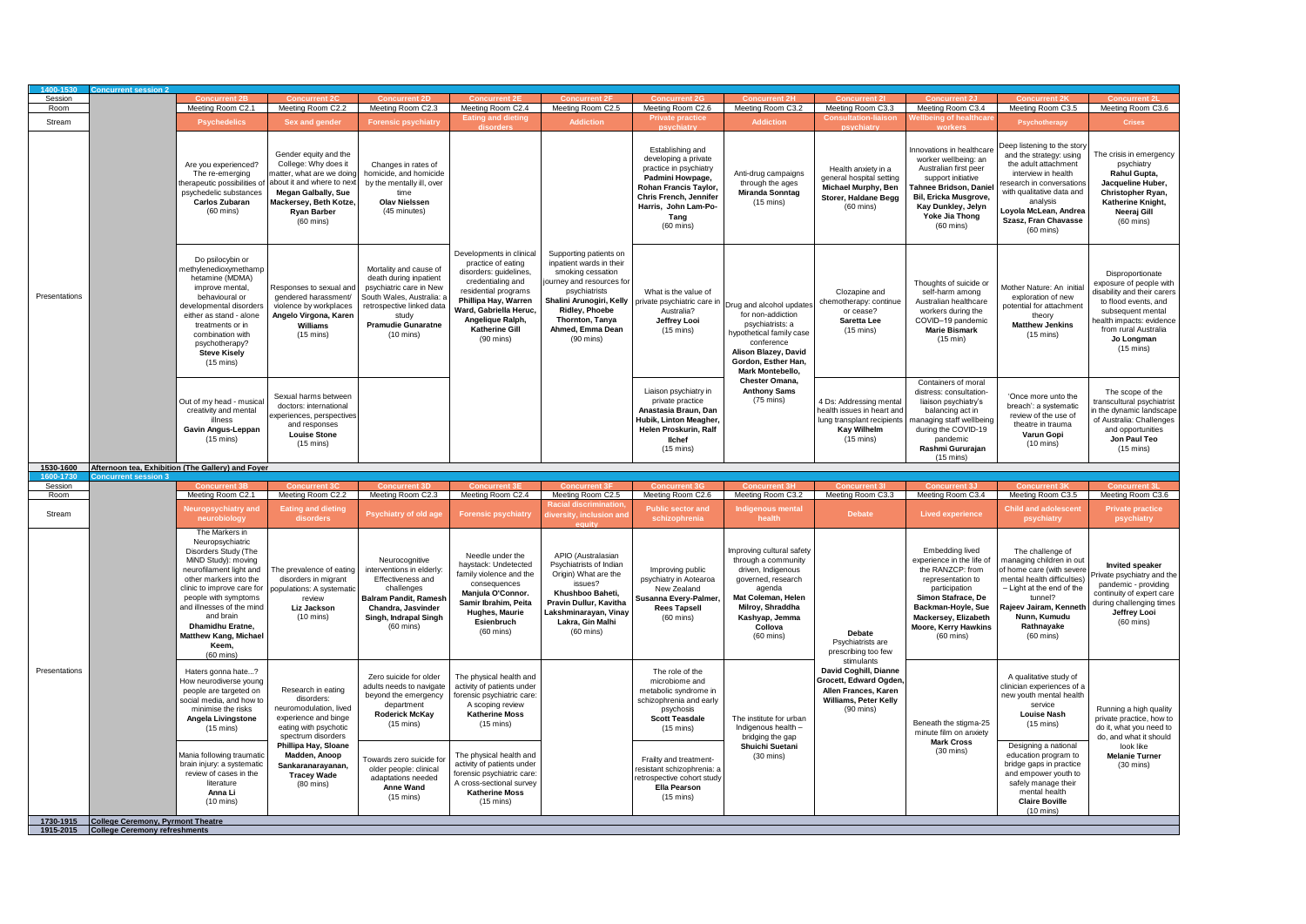| 1400-1530<br>Session   | <b>Concurrent session</b> 2                 |                                                                                                                                                                                                                                                                                                                                    |                                                                                                                                                                                                              |                                                                                                                                                                                                    |                                                                                                                                                                                                                                     |                                                                                                                                                                                                                                          |                                                                                                                                                                                                 |                                                                                                                                                                                                                |                                                                                                                                             |                                                                                                                                                                                                                           |                                                                                                                                                                                                                                                   |                                                                                                                                                                                                                 |
|------------------------|---------------------------------------------|------------------------------------------------------------------------------------------------------------------------------------------------------------------------------------------------------------------------------------------------------------------------------------------------------------------------------------|--------------------------------------------------------------------------------------------------------------------------------------------------------------------------------------------------------------|----------------------------------------------------------------------------------------------------------------------------------------------------------------------------------------------------|-------------------------------------------------------------------------------------------------------------------------------------------------------------------------------------------------------------------------------------|------------------------------------------------------------------------------------------------------------------------------------------------------------------------------------------------------------------------------------------|-------------------------------------------------------------------------------------------------------------------------------------------------------------------------------------------------|----------------------------------------------------------------------------------------------------------------------------------------------------------------------------------------------------------------|---------------------------------------------------------------------------------------------------------------------------------------------|---------------------------------------------------------------------------------------------------------------------------------------------------------------------------------------------------------------------------|---------------------------------------------------------------------------------------------------------------------------------------------------------------------------------------------------------------------------------------------------|-----------------------------------------------------------------------------------------------------------------------------------------------------------------------------------------------------------------|
| Room                   |                                             | Meeting Room C2.1                                                                                                                                                                                                                                                                                                                  | Meeting Room C2.2                                                                                                                                                                                            | Meeting Room C2.3                                                                                                                                                                                  | Meeting Room C2.4                                                                                                                                                                                                                   | Meeting Room C2.5                                                                                                                                                                                                                        | Meeting Room C2.6                                                                                                                                                                               | Meeting Room C3.2                                                                                                                                                                                              | Meeting Room C3.3                                                                                                                           | Meeting Room C3.4                                                                                                                                                                                                         | Meeting Room C3.5                                                                                                                                                                                                                                 | Meeting Room C3.6                                                                                                                                                                                               |
| Stream                 |                                             | <b>Psychedelics</b>                                                                                                                                                                                                                                                                                                                | Sex and gender                                                                                                                                                                                               | <b>Forensic psychiatry</b>                                                                                                                                                                         | Eating and dieting                                                                                                                                                                                                                  | <b>Addiction</b>                                                                                                                                                                                                                         | Private practice                                                                                                                                                                                | <b>Addiction</b>                                                                                                                                                                                               |                                                                                                                                             | Ilbeing of healthca                                                                                                                                                                                                       | <b>Psychotherapy</b>                                                                                                                                                                                                                              | <b>Crises</b>                                                                                                                                                                                                   |
|                        |                                             | Are you experienced?<br>The re-emerging<br>therapeutic possibilities of<br>psychedelic substances<br>Carlos Zubaran<br>$(60 \text{ mins})$                                                                                                                                                                                         | Gender equity and the<br>College: Why does it<br>natter, what are we doing<br>about it and where to next<br><b>Megan Galbally, Sue</b><br>Mackersey, Beth Kotze<br><b>Ryan Barber</b><br>$(60 \text{ mins})$ | Changes in rates of<br>homicide, and homicide<br>by the mentally ill, over<br>time<br><b>Olav Nielssen</b><br>(45 minutes)                                                                         |                                                                                                                                                                                                                                     |                                                                                                                                                                                                                                          | Establishing and<br>developing a private<br>practice in psychiatry<br>Padmini Howpage,<br>Rohan Francis Taylor<br>Chris French, Jennifer<br>Harris, John Lam-Po-<br>Tang<br>$(60 \text{ mins})$ | Anti-drug campaigns<br>through the ages<br><b>Miranda Sonntag</b><br>$(15 \text{ mins})$                                                                                                                       | Health anxiety in a<br>general hospital setting<br>Michael Murphy, Ben<br>Storer, Haldane Begg<br>$(60 \text{ mins})$                       | nnovations in healthcare<br>worker wellbeing: an<br>Australian first peer<br>support initiative<br>Tahnee Bridson, Daniel<br>Bil, Ericka Musgrove,<br>Kay Dunkley, Jelyn<br>Yoke Jia Thong<br>$(60 \text{ mins})$         | leep listening to the story<br>and the strategy: using<br>the adult attachment<br>interview in health<br>esearch in conversations<br>with qualitative data and<br>analysis<br>oyola McLean, Andrea<br>Szasz, Fran Chavasse<br>$(60 \text{ mins})$ | The crisis in emergency<br>psychiatry<br>Rahul Gupta,<br>Jacqueline Huber,<br>Christopher Ryan,<br>Katherine Knight,<br>Neeraj Gill<br>$(60 \text{ mins})$                                                      |
| Presentations          |                                             | Do psilocybin or<br>nethylenedioxymethamp<br>hetamine (MDMA)<br>improve mental,<br>behavioural or<br>developmental disorders<br>either as stand - alone<br>treatments or in<br>combination with<br>psychotherapy?<br><b>Steve Kisely</b><br>$(15 \text{ mins})$                                                                    | Responses to sexual and<br>gendered harassment/<br>violence by workplaces<br>Angelo Virgona, Karen<br>Williams<br>$(15 \text{ mins})$                                                                        | Mortality and cause of<br>death during inpatient<br>psychiatric care in New<br>South Wales, Australia: a<br>retrospective linked data<br>study<br><b>Pramudie Gunaratne</b><br>$(10 \text{ mins})$ | Developments in clinical<br>practice of eating<br>disorders: guidelines,<br>credentialing and<br>residential programs<br>Phillipa Hay, Warren<br>Ward, Gabriella Heruc,<br>Angelique Ralph,<br><b>Katherine Gill</b><br>$(90$ mins) | Supporting patients on<br>inpatient wards in their<br>smoking cessation<br>journey and resources for<br>psychiatrists<br>Shalini Arunogiri, Kelly<br><b>Ridley, Phoebe</b><br>Thornton, Tanya<br>Ahmed, Emma Dean<br>$(90 \text{ mins})$ | What is the value of<br>private psychiatric care i<br>Australia?<br>Jeffrey Looi<br>$(15 \text{ mins})$                                                                                         | Drug and alcohol updates<br>for non-addiction<br>psychiatrists: a<br>hypothetical family case<br>conference<br>Alison Blazey, David<br>Gordon, Esther Han,<br>Mark Montebello,                                 | Clozapine and<br>chemotherapy: continue<br>or cease?<br>Saretta Lee<br>$(15 \text{ mins})$                                                  | Thoughts of suicide or<br>self-harm among<br>Australian healthcare<br>workers during the<br>COVID-19 pandemic<br><b>Marie Bismark</b><br>(15 min)                                                                         | Mother Nature: An initia<br>exploration of new<br>potential for attachment<br>theory<br><b>Matthew Jenkins</b><br>$(15 \text{ mins})$                                                                                                             | Disproportionate<br>exposure of people with<br>disability and their carers<br>to flood events, and<br>subsequent mental<br>ealth impacts: evidence<br>from rural Australia<br>Jo Longman<br>$(15 \text{ mins})$ |
|                        |                                             | Out of my head - musical<br>creativity and mental<br>illness<br>Gavin Angus-Leppan<br>$(15 \text{ mins})$                                                                                                                                                                                                                          | Sexual harms between<br>doctors: international<br>xperiences, perspectives<br>and responses<br><b>Louise Stone</b><br>$(15 \text{ mins})$                                                                    |                                                                                                                                                                                                    |                                                                                                                                                                                                                                     |                                                                                                                                                                                                                                          | Liaison psychiatry in<br>private practice<br>Anastasia Braun, Dan<br>Hubik, Linton Meagher<br>Helen Proskurin, Ralf<br>lichef<br>$(15 \text{ mins})$                                            | Chester Omana,<br><b>Anthony Sams</b><br>$(75 \text{ mins})$                                                                                                                                                   | 4 Ds: Addressing mental<br>health issues in heart and<br>lung transplant recipients<br><b>Kay Wilhelm</b><br>$(15 \text{ mins})$            | Containers of moral<br>distress: consultation-<br>liaison psychiatry's<br>balancing act in<br>nanaging staff wellbeing<br>during the COVID-19<br>pandemic<br>Rashmi Gururajan<br>$(15 \text{ mins})$                      | 'Once more unto the<br>breach': a systematic<br>review of the use of<br>theatre in trauma<br>Varun Gopi<br>$(10 \text{ mins})$                                                                                                                    | The scope of the<br>ranscultural psychiatrist<br>the dynamic landscape<br>of Australia: Challenges<br>and opportunities<br>Jon Paul Teo<br>$(15 \text{ mins})$                                                  |
| 1530-1600<br>1600-1730 | Concurrant sassion                          | Afternoon tea, Exhibition (The Gallery) and Foyer                                                                                                                                                                                                                                                                                  |                                                                                                                                                                                                              |                                                                                                                                                                                                    |                                                                                                                                                                                                                                     |                                                                                                                                                                                                                                          |                                                                                                                                                                                                 |                                                                                                                                                                                                                |                                                                                                                                             |                                                                                                                                                                                                                           |                                                                                                                                                                                                                                                   |                                                                                                                                                                                                                 |
|                        |                                             |                                                                                                                                                                                                                                                                                                                                    |                                                                                                                                                                                                              |                                                                                                                                                                                                    |                                                                                                                                                                                                                                     |                                                                                                                                                                                                                                          |                                                                                                                                                                                                 |                                                                                                                                                                                                                |                                                                                                                                             |                                                                                                                                                                                                                           |                                                                                                                                                                                                                                                   |                                                                                                                                                                                                                 |
| Session                |                                             |                                                                                                                                                                                                                                                                                                                                    |                                                                                                                                                                                                              |                                                                                                                                                                                                    |                                                                                                                                                                                                                                     |                                                                                                                                                                                                                                          |                                                                                                                                                                                                 |                                                                                                                                                                                                                |                                                                                                                                             |                                                                                                                                                                                                                           |                                                                                                                                                                                                                                                   |                                                                                                                                                                                                                 |
| Room<br>Stream         |                                             | Meeting Room C2.1<br><b>Neuropsychiatry and</b>                                                                                                                                                                                                                                                                                    | Meeting Room C2.2<br><b>Eating and dieting</b>                                                                                                                                                               | Meeting Room C2.3<br><b>Psychiatry of old age</b>                                                                                                                                                  | Meeting Room C2.4<br><b>Forensic psychiatry</b>                                                                                                                                                                                     | Meeting Room C2.5<br>Racial discrimination<br>Iiversity, inclusion an                                                                                                                                                                    | Meeting Room C2.6<br><b>Public sector and</b>                                                                                                                                                   | Meeting Room C3.2<br><b>Indigenous mental</b>                                                                                                                                                                  | Meeting Room C3.3<br><b>Debate</b>                                                                                                          | Meeting Room C3.4<br><b>Lived experience</b>                                                                                                                                                                              | Meeting Room C3.5<br><b>Child and adolescent</b>                                                                                                                                                                                                  | Meeting Room C3.6<br><b>Private practice</b>                                                                                                                                                                    |
|                        |                                             | neurobiology<br>The Markers in<br>Neuropsychiatric<br>Disorders Study (The<br>MiND Study): moving<br>neurofilament light and<br>other markers into the<br>clinic to improve care for<br>people with symptoms<br>and illnesses of the mind<br>and brain<br>Dhamidhu Eratne,<br>Matthew Kang, Michael<br>Keem<br>$(60 \text{ mins})$ | disorders<br>The prevalence of eating<br>disorders in migrant<br>opulations: A systematic<br>review<br>Liz Jackson<br>$(10 \text{ mins})$                                                                    | Neurocognitive<br>nterventions in elderly:<br>Effectiveness and<br>challenges<br>Balram Pandit, Ramesh<br>Chandra, Jasvinder<br>Singh, Indrapal Singh<br>$(60 \text{ mins})$                       | Needle under the<br>haystack: Undetected<br>family violence and the<br>consequences<br>Manjula O'Connor.<br>Samir Ibrahim, Peita<br>Hughes, Maurie<br>Esienbruch<br>$(60 \text{ mins})$                                             | APIO (Australasian<br>Psychiatrists of Indian<br>Origin) What are the<br>issues?<br>Khushboo Baheti,<br>Pravin Dullur, Kavitha<br>Lakshminarayan, Vinay<br>Lakra, Gin Malhi<br>$(60 \text{ mins})$                                       | schizophrenia<br>Improving public<br>psychiatry in Aotearoa<br>New Zealand<br><b>Susanna Every-Palmer</b><br><b>Rees Tapsell</b><br>$(60 \text{ mins})$                                         | health<br>Improving cultural safety<br>through a community<br>driven, Indigenous<br>governed, research<br>agenda<br>Mat Coleman, Helen<br>Milroy, Shraddha<br>Kashyap, Jemma<br>Collova<br>$(60 \text{ mins})$ | Debate<br>Psychiatrists are<br>prescribing too few                                                                                          | Embedding lived<br>experience in the life of<br>the RANZCP: from<br>representation to<br>participation<br>Simon Stafrace, De<br>Backman-Hoyle, Sue<br>Mackersey, Elizabeth<br>Moore, Kerry Hawkins<br>$(60 \text{ mins})$ | psychiatry<br>The challenge of<br>managing children in out<br>f home care (with severe<br>nental health difficulties)<br>- Light at the end of the<br>tunnel?<br>lajeev Jairam, Kenneth<br>Nunn, Kumudu<br>Rathnayake<br>$(60$ mins)              | psychiatry<br><b>Invited speaker</b><br>ivate psychiatry and the<br>pandemic - providing<br>continuity of expert care<br>during challenging times<br>Jeffrey Looi<br>$(60 \text{ mins})$                        |
| Presentations          |                                             | Haters gonna hate?<br>How neurodiverse young<br>people are targeted on<br>social media, and how to<br>minimise the risks<br>Angela Livingstone<br>$(15 \text{ mins})$                                                                                                                                                              | Research in eating<br>disorders:<br>neuromodulation, lived<br>experience and binge<br>eating with psychotic<br>spectrum disorders<br>Phillipa Hay, Sloane                                                    | Zero suicide for older<br>adults needs to navigate<br>beyond the emergency<br>department<br>Roderick McKay<br>$(15 \text{ mins})$                                                                  | The physical health and<br>activity of patients under<br>forensic psychiatric care<br>A scoping review<br><b>Katherine Moss</b><br>$(15 \text{ mins})$                                                                              |                                                                                                                                                                                                                                          | The role of the<br>microbiome and<br>metabolic syndrome in<br>schizophrenia and early<br>psychosis<br><b>Scott Teasdale</b><br>$(15 \text{ mins})$                                              | The institute for urban<br>Indigenous health -<br>bridging the gap<br>Shuichi Suetani                                                                                                                          | stimulants<br>David Coghill, Dianne<br>Grocett, Edward Ogden<br>Allen Frances, Karen<br><b>Williams, Peter Kelly</b><br>$(90 \text{ mins})$ | Beneath the stigma-25<br>minute film on anxiety<br><b>Mark Cross</b><br>$(30 \text{ mins})$                                                                                                                               | A qualitative study of<br>clinician experiences of a<br>new youth mental health<br>service<br><b>Louise Nash</b><br>$(15 \text{ mins})$<br>Designing a national                                                                                   | Running a high quality<br>private practice, how to<br>do it, what you need to<br>do, and what it should<br>look like                                                                                            |
|                        | 1730-1915 College Ceremony, Pyrmont Theatre | Mania following traumatic<br>brain injury: a systematic<br>review of cases in the<br>literature<br>Anna Li<br>$(10 \text{ mins})$                                                                                                                                                                                                  | Madden, Anoop<br>Sankaranarayanan,<br><b>Tracey Wade</b><br>$(80 \text{ mins})$                                                                                                                              | owards zero suicide for<br>older people: clinical<br>adaptations needed<br>Anne Wand<br>$(15 \text{ mins})$                                                                                        | The physical health and<br>activity of patients under<br>forensic psychiatric care:<br>A cross-sectional survey<br><b>Katherine Moss</b><br>$(15 \text{ mins})$                                                                     |                                                                                                                                                                                                                                          | Frailty and treatment-<br>resistant schizophrenia: a<br>retrospective cohort study<br>Ella Pearson<br>$(15 \text{ mins})$                                                                       | $(30 \text{ mins})$                                                                                                                                                                                            |                                                                                                                                             |                                                                                                                                                                                                                           | education program to<br>bridge gaps in practice<br>and empower youth to<br>safely manage their<br>mental health<br><b>Claire Boville</b><br>$(10 \text{ mins})$                                                                                   | <b>Melanie Turner</b><br>$(30 \text{ mins})$                                                                                                                                                                    |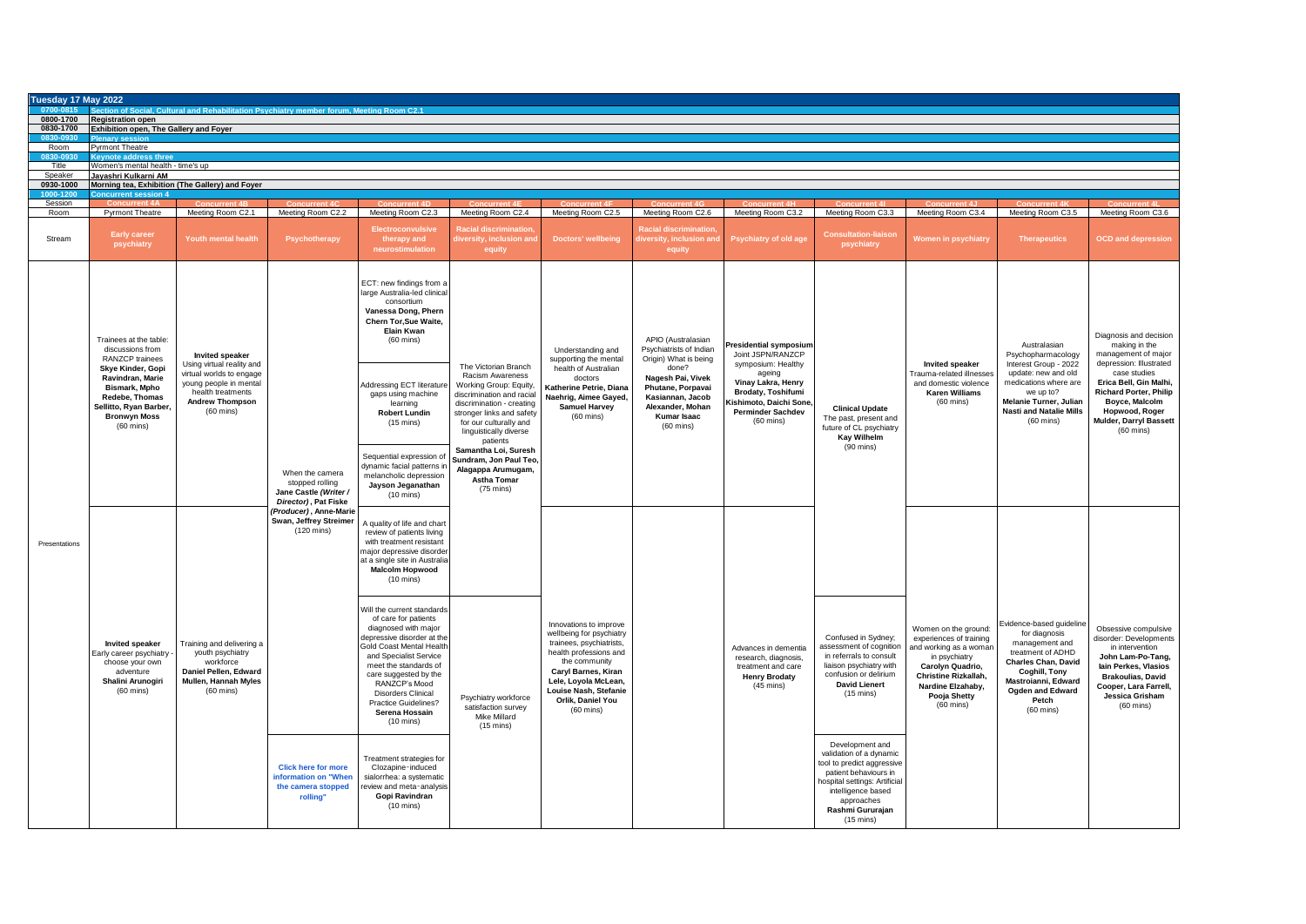| Tuesday 17 May 2022   |                                                                                                                                                 |                                                                                                                                    |                                                                                                               |                                                                                                                                                                                                                                                                                                                                 |                                                                                                                                                                                                                                                                                                                       |                                                                                                                                                                                                                                               |                                                                                                                               |                                                                                                                                        |                                                                                                                                                                                                                   |                                                                                                                                                                                                    |                                                                                                                                                                                                                   |                                                                                                                                                                                                               |
|-----------------------|-------------------------------------------------------------------------------------------------------------------------------------------------|------------------------------------------------------------------------------------------------------------------------------------|---------------------------------------------------------------------------------------------------------------|---------------------------------------------------------------------------------------------------------------------------------------------------------------------------------------------------------------------------------------------------------------------------------------------------------------------------------|-----------------------------------------------------------------------------------------------------------------------------------------------------------------------------------------------------------------------------------------------------------------------------------------------------------------------|-----------------------------------------------------------------------------------------------------------------------------------------------------------------------------------------------------------------------------------------------|-------------------------------------------------------------------------------------------------------------------------------|----------------------------------------------------------------------------------------------------------------------------------------|-------------------------------------------------------------------------------------------------------------------------------------------------------------------------------------------------------------------|----------------------------------------------------------------------------------------------------------------------------------------------------------------------------------------------------|-------------------------------------------------------------------------------------------------------------------------------------------------------------------------------------------------------------------|---------------------------------------------------------------------------------------------------------------------------------------------------------------------------------------------------------------|
| 0800-1700             | <b>Registration open</b>                                                                                                                        | ection of Social. Cultural and Rehabilitation Psychiatry member forum. Meeting Room C2.1                                           |                                                                                                               |                                                                                                                                                                                                                                                                                                                                 |                                                                                                                                                                                                                                                                                                                       |                                                                                                                                                                                                                                               |                                                                                                                               |                                                                                                                                        |                                                                                                                                                                                                                   |                                                                                                                                                                                                    |                                                                                                                                                                                                                   |                                                                                                                                                                                                               |
| 0830-1700<br>0830-093 | <b>Exhibition open, The Gallery and Foyer</b>                                                                                                   |                                                                                                                                    |                                                                                                               |                                                                                                                                                                                                                                                                                                                                 |                                                                                                                                                                                                                                                                                                                       |                                                                                                                                                                                                                                               |                                                                                                                               |                                                                                                                                        |                                                                                                                                                                                                                   |                                                                                                                                                                                                    |                                                                                                                                                                                                                   |                                                                                                                                                                                                               |
| Room                  | nary sessi<br>Pyrmont Theatre                                                                                                                   |                                                                                                                                    |                                                                                                               |                                                                                                                                                                                                                                                                                                                                 |                                                                                                                                                                                                                                                                                                                       |                                                                                                                                                                                                                                               |                                                                                                                               |                                                                                                                                        |                                                                                                                                                                                                                   |                                                                                                                                                                                                    |                                                                                                                                                                                                                   |                                                                                                                                                                                                               |
| 0830-093<br>Title     | <b>Keynote address three</b><br>Vomen's mental health - time's up                                                                               |                                                                                                                                    |                                                                                                               |                                                                                                                                                                                                                                                                                                                                 |                                                                                                                                                                                                                                                                                                                       |                                                                                                                                                                                                                                               |                                                                                                                               |                                                                                                                                        |                                                                                                                                                                                                                   |                                                                                                                                                                                                    |                                                                                                                                                                                                                   |                                                                                                                                                                                                               |
| Speaker<br>0930-1000  | Jayashri Kulkarni AM                                                                                                                            | Morning tea, Exhibition (The Gallery) and Foyer                                                                                    |                                                                                                               |                                                                                                                                                                                                                                                                                                                                 |                                                                                                                                                                                                                                                                                                                       |                                                                                                                                                                                                                                               |                                                                                                                               |                                                                                                                                        |                                                                                                                                                                                                                   |                                                                                                                                                                                                    |                                                                                                                                                                                                                   |                                                                                                                                                                                                               |
| $1000 - 121$          | ont energian                                                                                                                                    |                                                                                                                                    |                                                                                                               |                                                                                                                                                                                                                                                                                                                                 |                                                                                                                                                                                                                                                                                                                       |                                                                                                                                                                                                                                               |                                                                                                                               |                                                                                                                                        |                                                                                                                                                                                                                   |                                                                                                                                                                                                    |                                                                                                                                                                                                                   |                                                                                                                                                                                                               |
| Session<br>Room       | <b>Pyrmont Theatre</b>                                                                                                                          | Meeting Room C2.1                                                                                                                  | Meeting Room C2.2                                                                                             | Meeting Room C2.3                                                                                                                                                                                                                                                                                                               | Meeting Room C2.4                                                                                                                                                                                                                                                                                                     | Meeting Room C2.5                                                                                                                                                                                                                             | Meeting Room C2.6                                                                                                             | Meeting Room C3.2                                                                                                                      | Meeting Room C3.3                                                                                                                                                                                                 | Meeting Room C3.4                                                                                                                                                                                  | Meeting Room C3.5                                                                                                                                                                                                 | Meeting Room C3.6                                                                                                                                                                                             |
| Stream                | <b>Early career</b><br>psychiatry                                                                                                               | Youth mental health                                                                                                                | Psychotherapy                                                                                                 | <b>Electroconvulsive</b><br>therapy and<br>neurostimulation                                                                                                                                                                                                                                                                     | <b>Racial discrimination</b><br>iversity, inclusion an<br>equity                                                                                                                                                                                                                                                      | <b>Doctors' wellbeing</b>                                                                                                                                                                                                                     | diversity, inclusion and<br>equity                                                                                            | Psychiatry of old age                                                                                                                  | <b>Consultation-liaison</b><br>psychiatry                                                                                                                                                                         | <b>Women in psychiatry</b>                                                                                                                                                                         | <b>Therapeutics</b>                                                                                                                                                                                               | <b>OCD</b> and depression                                                                                                                                                                                     |
|                       | Trainees at the table:<br>discussions from<br><b>RANZCP</b> trainees                                                                            | <b>Invited speaker</b><br>Using virtual reality and                                                                                |                                                                                                               | ECT: new findings from a<br>large Australia-led clinical<br>consortium<br>Vanessa Dong, Phern<br>Chern Tor,Sue Waite,<br>Elain Kwan<br>$(60 \text{ mins})$                                                                                                                                                                      | The Victorian Branch                                                                                                                                                                                                                                                                                                  | Understanding and<br>supporting the mental                                                                                                                                                                                                    | APIO (Australasian<br>Psychiatrists of Indian<br>Origin) What is being                                                        | residential symposium<br>Joint JSPN/RANZCP<br>symposium: Healthy                                                                       |                                                                                                                                                                                                                   | <b>Invited speaker</b>                                                                                                                                                                             | Australasian<br>Psychopharmacology<br>Interest Group - 2022                                                                                                                                                       | Diagnosis and decision<br>making in the<br>management of major<br>depression: Illustrated                                                                                                                     |
|                       | Skye Kinder, Gopi<br>Ravindran, Marie<br>Bismark, Mpho<br>Redebe, Thomas<br>Sellitto, Ryan Barber<br><b>Bronwyn Moss</b><br>$(60 \text{ mins})$ | irtual worlds to engage<br>young people in mental<br>health treatments<br><b>Andrew Thompson</b><br>$(60 \text{ mins})$            | When the camera<br>stopped rolling<br>Jane Castle (Writer /<br>Director), Pat Fiske<br>(Producer), Anne-Marie | Addressing ECT literature<br>gaps using machine<br>learning<br><b>Robert Lundin</b><br>$(15 \text{ mins})$                                                                                                                                                                                                                      | Racism Awareness<br>Working Group: Equity,<br>discrimination and racial<br>discrimination - creating<br>stronger links and safety<br>for our culturally and<br>linguistically diverse<br>patients<br>Samantha Loi, Suresh<br>Sundram, Jon Paul Teo<br>Alagappa Arumugam,<br><b>Astha Tomar</b><br>$(75 \text{ mins})$ | health of Australian<br>doctors<br>Katherine Petrie, Diana<br>Naehrig, Aimee Gayed,<br><b>Samuel Harvey</b><br>$(60 \text{ mins})$                                                                                                            | done?<br>Nagesh Pai, Vivek<br>Phutane, Porpavai<br>Kasiannan, Jacob<br>Alexander, Mohan<br>Kumar Isaac<br>$(60 \text{ mins})$ | ageing<br>Vinay Lakra, Henry<br><b>Brodaty, Toshifumi</b><br>Gishimoto, Daichi Sone<br><b>Perminder Sachdev</b><br>$(60 \text{ mins})$ | <b>Clinical Update</b><br>The past, present and<br>future of CL psychiatry<br><b>Kay Wilhelm</b><br>$(90 \text{ mins})$                                                                                           | Frauma-related illnesses<br>and domestic violence<br><b>Karen Williams</b><br>$(60 \text{ mins})$                                                                                                  | update: new and old<br>medications where are<br>we up to?<br>Melanie Turner, Julian<br><b>Nasti and Natalie Mills</b><br>$(60$ mins)                                                                              | case studies<br>Erica Bell, Gin Malhi,<br><b>Richard Porter, Philip</b><br>Boyce, Malcolm<br>Hopwood, Roger<br>Mulder, Darryl Bassett<br>$(60 \text{ mins})$                                                  |
| Presentations         |                                                                                                                                                 |                                                                                                                                    |                                                                                                               | Sequential expression of<br>dynamic facial patterns in<br>melancholic depression<br>Jayson Jeganathan<br>$(10 \text{ mins})$                                                                                                                                                                                                    |                                                                                                                                                                                                                                                                                                                       |                                                                                                                                                                                                                                               |                                                                                                                               |                                                                                                                                        |                                                                                                                                                                                                                   |                                                                                                                                                                                                    |                                                                                                                                                                                                                   |                                                                                                                                                                                                               |
|                       | <b>Invited speaker</b><br>Early career psychiatry<br>choose your own<br>adventure<br>Shalini Arunogiri<br>$(60$ mins)                           |                                                                                                                                    | Swan, Jeffrey Streimer<br>$(120 \text{ mins})$                                                                | A quality of life and chart<br>review of patients living<br>with treatment resistant<br>major depressive disorder<br>at a single site in Australia<br><b>Malcolm Hopwood</b><br>$(10 \text{ mins})$                                                                                                                             | Psychiatry workforce<br>satisfaction survey<br>Mike Millard<br>$(15 \text{ mins})$                                                                                                                                                                                                                                    | Innovations to improve<br>wellbeing for psychiatry<br>trainees, psychiatrists,<br>health professions and<br>the community<br>Caryl Barnes, Kiran<br>Lele, Loyola McLean,<br>Louise Nash, Stefanie<br>Orlik, Daniel You<br>$(60 \text{ mins})$ |                                                                                                                               |                                                                                                                                        |                                                                                                                                                                                                                   |                                                                                                                                                                                                    |                                                                                                                                                                                                                   |                                                                                                                                                                                                               |
|                       |                                                                                                                                                 | Training and delivering a<br>youth psychiatry<br>workforce<br>Daniel Pellen, Edward<br>Mullen, Hannah Myles<br>$(60 \text{ mins})$ |                                                                                                               | Will the current standards<br>of care for patients<br>diagnosed with major<br>depressive disorder at the<br>Gold Coast Mental Health<br>and Specialist Service<br>meet the standards of<br>care suggested by the<br>RANZCP's Mood<br><b>Disorders Clinical</b><br>Practice Guidelines?<br>Serena Hossain<br>$(10 \text{ mins})$ |                                                                                                                                                                                                                                                                                                                       |                                                                                                                                                                                                                                               |                                                                                                                               | Advances in dementia<br>research, diagnosis,<br>treatment and care<br><b>Henry Brodaty</b><br>$(45 \text{ mins})$                      | Confused in Sydney;<br>assessment of cognition<br>in referrals to consult<br>liaison psychiatry with<br>confusion or delirium<br><b>David Lienert</b><br>$(15 \text{ mins})$                                      | Women on the ground:<br>experiences of training<br>and working as a woman<br>in psychiatry<br>Carolyn Quadrio,<br>Christine Rizkallah,<br>Nardine Elzahaby,<br>Pooja Shetty<br>$(60 \text{ mins})$ | Evidence-based guideline<br>for diagnosis<br>management and<br>treatment of ADHD<br><b>Charles Chan. David</b><br>Coghill, Tony<br>Mastroianni, Edward<br><b>Ogden and Edward</b><br>Petch<br>$(60 \text{ mins})$ | Obsessive compulsive<br>disorder: Developments<br>in intervention<br>John Lam-Po-Tang,<br>lain Perkes, Vlasios<br><b>Brakoulias, David</b><br>Cooper, Lara Farrell,<br>Jessica Grisham<br>$(60 \text{ mins})$ |
|                       |                                                                                                                                                 |                                                                                                                                    | <b>Click here for more</b><br>information on "When<br>the camera stopped<br>rolling"                          | Treatment strategies for<br>Clozapine-induced<br>sialorrhea: a systematic<br>review and meta-analysis<br>Gopi Ravindran<br>$(10 \text{ mins})$                                                                                                                                                                                  |                                                                                                                                                                                                                                                                                                                       |                                                                                                                                                                                                                                               |                                                                                                                               |                                                                                                                                        | Development and<br>validation of a dynamic<br>tool to predict aggressive<br>patient behaviours in<br>hospital settings: Artificial<br>intelligence based<br>approaches<br>Rashmi Gururajan<br>$(15 \text{ mins})$ |                                                                                                                                                                                                    |                                                                                                                                                                                                                   |                                                                                                                                                                                                               |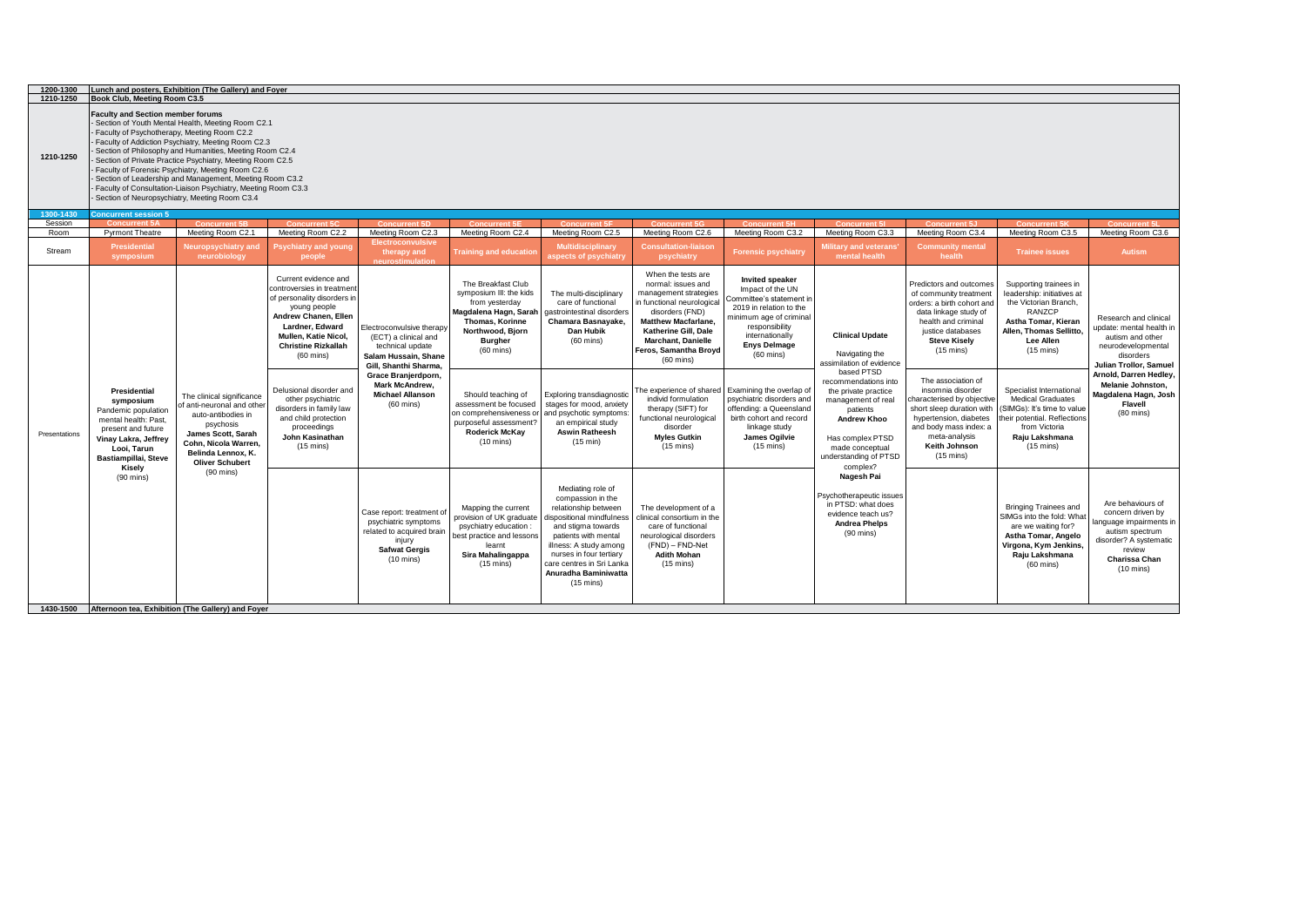| 1200-1300<br>1210-1250 | Book Club, Meeting Room C3.5                                                                                                                                  | Lunch and posters, Exhibition (The Gallery) and Foyer                                                                                                                                                                                                                                                                                                                                                                                                               |                                                                                                                                                                                                                                                                                                                                                                                       |                                                                                                                                                                                                                   |                                                                                                                                                                                                                                                                                                                              |                                                                                                                                                                                                                                                                                    |                                                                                                                                                                                                                                                                                                                                                                                                                    |                                                                                                                                                                                                                                                                                                                                                                                         |                                                                                                                                                                                                                                                            |                                                                                                                                                                                                                                                                                                                                                                                                                       |                                                                                                                                                                                                                                                                                                                                                              |                                                                                                                                                                                                                                             |
|------------------------|---------------------------------------------------------------------------------------------------------------------------------------------------------------|---------------------------------------------------------------------------------------------------------------------------------------------------------------------------------------------------------------------------------------------------------------------------------------------------------------------------------------------------------------------------------------------------------------------------------------------------------------------|---------------------------------------------------------------------------------------------------------------------------------------------------------------------------------------------------------------------------------------------------------------------------------------------------------------------------------------------------------------------------------------|-------------------------------------------------------------------------------------------------------------------------------------------------------------------------------------------------------------------|------------------------------------------------------------------------------------------------------------------------------------------------------------------------------------------------------------------------------------------------------------------------------------------------------------------------------|------------------------------------------------------------------------------------------------------------------------------------------------------------------------------------------------------------------------------------------------------------------------------------|--------------------------------------------------------------------------------------------------------------------------------------------------------------------------------------------------------------------------------------------------------------------------------------------------------------------------------------------------------------------------------------------------------------------|-----------------------------------------------------------------------------------------------------------------------------------------------------------------------------------------------------------------------------------------------------------------------------------------------------------------------------------------------------------------------------------------|------------------------------------------------------------------------------------------------------------------------------------------------------------------------------------------------------------------------------------------------------------|-----------------------------------------------------------------------------------------------------------------------------------------------------------------------------------------------------------------------------------------------------------------------------------------------------------------------------------------------------------------------------------------------------------------------|--------------------------------------------------------------------------------------------------------------------------------------------------------------------------------------------------------------------------------------------------------------------------------------------------------------------------------------------------------------|---------------------------------------------------------------------------------------------------------------------------------------------------------------------------------------------------------------------------------------------|
| 1210-1250              | <b>Faculty and Section member forums</b><br>Faculty of Psychotherapy, Meeting Room C2.2                                                                       | - Section of Youth Mental Health, Meeting Room C2.1<br>Faculty of Addiction Psychiatry, Meeting Room C2.3<br>Section of Philosophy and Humanities, Meeting Room C2.4<br>Section of Private Practice Psychiatry, Meeting Room C2.5<br>Faculty of Forensic Psychiatry, Meeting Room C2.6<br>Section of Leadership and Management, Meeting Room C3.2<br>Faculty of Consultation-Liaison Psychiatry, Meeting Room C3.3<br>Section of Neuropsychiatry, Meeting Room C3.4 |                                                                                                                                                                                                                                                                                                                                                                                       |                                                                                                                                                                                                                   |                                                                                                                                                                                                                                                                                                                              |                                                                                                                                                                                                                                                                                    |                                                                                                                                                                                                                                                                                                                                                                                                                    |                                                                                                                                                                                                                                                                                                                                                                                         |                                                                                                                                                                                                                                                            |                                                                                                                                                                                                                                                                                                                                                                                                                       |                                                                                                                                                                                                                                                                                                                                                              |                                                                                                                                                                                                                                             |
| 1300-1430              | <b>Concurrent session 5</b>                                                                                                                                   |                                                                                                                                                                                                                                                                                                                                                                                                                                                                     |                                                                                                                                                                                                                                                                                                                                                                                       |                                                                                                                                                                                                                   |                                                                                                                                                                                                                                                                                                                              |                                                                                                                                                                                                                                                                                    |                                                                                                                                                                                                                                                                                                                                                                                                                    |                                                                                                                                                                                                                                                                                                                                                                                         |                                                                                                                                                                                                                                                            |                                                                                                                                                                                                                                                                                                                                                                                                                       |                                                                                                                                                                                                                                                                                                                                                              |                                                                                                                                                                                                                                             |
| Session<br>Room        | <b>Concurrent 5A</b><br><b>Pyrmont Theatre</b>                                                                                                                | <b>Concurrent 5B</b><br>Meeting Room C2.1                                                                                                                                                                                                                                                                                                                                                                                                                           | Concurrent 5C<br>Meeting Room C2.2                                                                                                                                                                                                                                                                                                                                                    | <b>Concurrent 5D</b><br>Meeting Room C2.3                                                                                                                                                                         | <b>Concurrent 5F</b><br>Meeting Room C2.4                                                                                                                                                                                                                                                                                    | <b>Concurrent 5F</b><br>Meeting Room C2.5                                                                                                                                                                                                                                          | Concurrent 5G<br>Meeting Room C2.6                                                                                                                                                                                                                                                                                                                                                                                 | Concurrent 5H<br>Meeting Room C3.2                                                                                                                                                                                                                                                                                                                                                      | <b>Concurrent 51</b><br>Meeting Room C3.3                                                                                                                                                                                                                  | Concurrent 5.1<br>Meeting Room C3.4                                                                                                                                                                                                                                                                                                                                                                                   | <b>Concurrent 5K</b><br>Meeting Room C3.5                                                                                                                                                                                                                                                                                                                    | <b>Concurrent 51</b><br>Meeting Room C3.6                                                                                                                                                                                                   |
| Stream                 | <b>Presidential</b><br>symposium                                                                                                                              | Neuropsychiatry and<br>neurobiology                                                                                                                                                                                                                                                                                                                                                                                                                                 | Psychiatry and young<br>people                                                                                                                                                                                                                                                                                                                                                        | <b>Electroconvulsive</b><br>therapy and<br>ıeurostimulatio                                                                                                                                                        | <b>Training and education</b>                                                                                                                                                                                                                                                                                                | <b>Multidisciplinary</b><br>aspects of psychiatry                                                                                                                                                                                                                                  | <b>Consultation-liaison</b><br>psychiatry                                                                                                                                                                                                                                                                                                                                                                          | <b>Forensic psychiatry</b>                                                                                                                                                                                                                                                                                                                                                              | lilitary and veterans'<br>mental health                                                                                                                                                                                                                    | <b>Community mental</b><br>health                                                                                                                                                                                                                                                                                                                                                                                     | <b>Trainee issues</b>                                                                                                                                                                                                                                                                                                                                        | Autism                                                                                                                                                                                                                                      |
| Presentations          | Presidential<br>symposium<br>Pandemic population<br>mental health: Past,<br>present and future<br>Vinay Lakra, Jeffrey<br>Looi, Tarun<br>Bastiampillai, Steve | The clinical significance<br>of anti-neuronal and other<br>auto-antibodies in<br>psychosis<br>James Scott, Sarah<br>Cohn, Nicola Warren,<br>Belinda Lennox, K.<br><b>Oliver Schubert</b>                                                                                                                                                                                                                                                                            | Current evidence and<br>controversies in treatment<br>of personality disorders in<br>young people<br>Andrew Chanen, Ellen<br>Lardner, Edward<br>Mullen, Katie Nicol,<br><b>Christine Rizkallah</b><br>$(60 \text{ mins})$<br>Delusional disorder and<br>other psychiatric<br>disorders in family law<br>and child protection<br>proceedings<br>John Kasinathan<br>$(15 \text{ mins})$ | Electroconvulsive therapy<br>(ECT) a clinical and<br>technical update<br>Salam Hussain, Shane<br>Gill, Shanthi Sharma,<br>Grace Branjerdporn,<br>Mark McAndrew,<br><b>Michael Allanson</b><br>$(60 \text{ mins})$ | The Breakfast Club<br>symposium III: the kids<br>from yesterday<br>Magdalena Hagn, Sarah<br>Thomas, Korinne<br>Northwood, Bjorn<br><b>Burgher</b><br>$(60 \text{ mins})$<br>Should teaching of<br>assessment be focused<br>on comprehensiveness or<br>purposeful assessment?<br><b>Roderick McKay</b><br>$(10 \text{ mins})$ | The multi-disciplinary<br>care of functional<br>gastrointestinal disorders<br>Chamara Basnayake,<br>Dan Hubik<br>$(60 \text{ mins})$<br>Exploring transdiagnostic<br>stages for mood, anxiety<br>and psychotic symptoms<br>an empirical study<br><b>Aswin Ratheesh</b><br>(15 min) | When the tests are<br>normal: issues and<br>management strategies<br>in functional neurological<br>disorders (FND)<br><b>Matthew Macfarlane,</b><br>Katherine Gill, Dale<br><b>Marchant, Danielle</b><br>Feros, Samantha Broyd<br>$(60 \text{ mins})$<br>he experience of shared<br>individ formulation<br>therapy (SIFT) for<br>functional neurological<br>disorder<br><b>Myles Gutkin</b><br>$(15 \text{ mins})$ | <b>Invited speaker</b><br>Impact of the UN<br>Committee's statement in<br>2019 in relation to the<br>ninimum age of criminal<br>responsibility<br>internationally<br><b>Enys Delmage</b><br>$(60 \text{ mins})$<br>Examining the overlap of<br>psychiatric disorders and<br>offending: a Queensland<br>birth cohort and record<br>linkage study<br>James Ogilvie<br>$(15 \text{ mins})$ | <b>Clinical Update</b><br>Navigating the<br>assimilation of evidence<br>based PTSD<br>recommendations into<br>the private practice<br>management of real<br>patients<br><b>Andrew Khoo</b><br>Has complex PTSD<br>made conceptual<br>understanding of PTSD | Predictors and outcomes<br>of community treatment<br>orders: a birth cohort and<br>data linkage study of<br>health and criminal<br>justice databases<br><b>Steve Kisely</b><br>$(15 \text{ mins})$<br>The association of<br>insomnia disorder<br>characterised by objective<br>short sleep duration with<br>hypertension, diabetes<br>and body mass index: a<br>meta-analysis<br>Keith Johnson<br>$(15 \text{ mins})$ | Supporting trainees in<br>leadership: initiatives at<br>the Victorian Branch,<br>RANZCP<br>Astha Tomar, Kieran<br>Allen, Thomas Sellitto,<br>Lee Allen<br>$(15 \text{ mins})$<br>Specialist International<br><b>Medical Graduates</b><br>SIMGs): It's time to value<br>heir potential. Reflections<br>from Victoria<br>Raju Lakshmana<br>$(15 \text{ mins})$ | Research and clinical<br>update: mental health in<br>autism and other<br>neurodevelopmental<br>disorders<br>Julian Trollor, Samuel<br>Arnold, Darren Hedley,<br>Melanie Johnston,<br>Magdalena Hagn, Josh<br>Flavell<br>$(80 \text{ mins})$ |
|                        | Kisely<br>$(90 \text{ mins})$                                                                                                                                 | $(90$ mins)                                                                                                                                                                                                                                                                                                                                                                                                                                                         |                                                                                                                                                                                                                                                                                                                                                                                       | Case report: treatment of<br>psychiatric symptoms<br>related to acquired brain<br>injury<br><b>Safwat Gergis</b><br>$(10 \text{ mins})$                                                                           | Mapping the current<br>provision of UK graduate<br>psychiatry education :<br>best practice and lessons<br>learnt<br>Sira Mahalingappa<br>$(15 \text{ mins})$                                                                                                                                                                 | Mediating role of<br>compassion in the<br>relationship between<br>dispositional mindfulness<br>and stigma towards<br>patients with mental<br>illness: A study among<br>nurses in four tertiary<br>care centres in Sri Lanka<br>Anuradha Baminiwatta<br>$(15 \text{ mins})$         | The development of a<br>clinical consortium in the<br>care of functional<br>neurological disorders<br>(FND) - FND-Net<br><b>Adith Mohan</b><br>$(15 \text{ mins})$                                                                                                                                                                                                                                                 |                                                                                                                                                                                                                                                                                                                                                                                         | complex?<br>Nagesh Pai<br>Psychotherapeutic issues<br>in PTSD: what does<br>evidence teach us?<br><b>Andrea Phelps</b><br>$(90 \text{ mins})$                                                                                                              |                                                                                                                                                                                                                                                                                                                                                                                                                       | <b>Bringing Trainees and</b><br>SIMGs into the fold: What<br>are we waiting for?<br>Astha Tomar, Angelo<br>Virgona, Kym Jenkins,<br>Raju Lakshmana<br>$(60 \text{ mins})$                                                                                                                                                                                    | Are behaviours of<br>concern driven by<br>anguage impairments in<br>autism spectrum<br>disorder? A systematic<br>review<br>Charissa Chan<br>$(10 \text{ mins})$                                                                             |
|                        |                                                                                                                                                               | 1430-1500 Afternoon tea, Exhibition (The Gallery) and Foyer                                                                                                                                                                                                                                                                                                                                                                                                         |                                                                                                                                                                                                                                                                                                                                                                                       |                                                                                                                                                                                                                   |                                                                                                                                                                                                                                                                                                                              |                                                                                                                                                                                                                                                                                    |                                                                                                                                                                                                                                                                                                                                                                                                                    |                                                                                                                                                                                                                                                                                                                                                                                         |                                                                                                                                                                                                                                                            |                                                                                                                                                                                                                                                                                                                                                                                                                       |                                                                                                                                                                                                                                                                                                                                                              |                                                                                                                                                                                                                                             |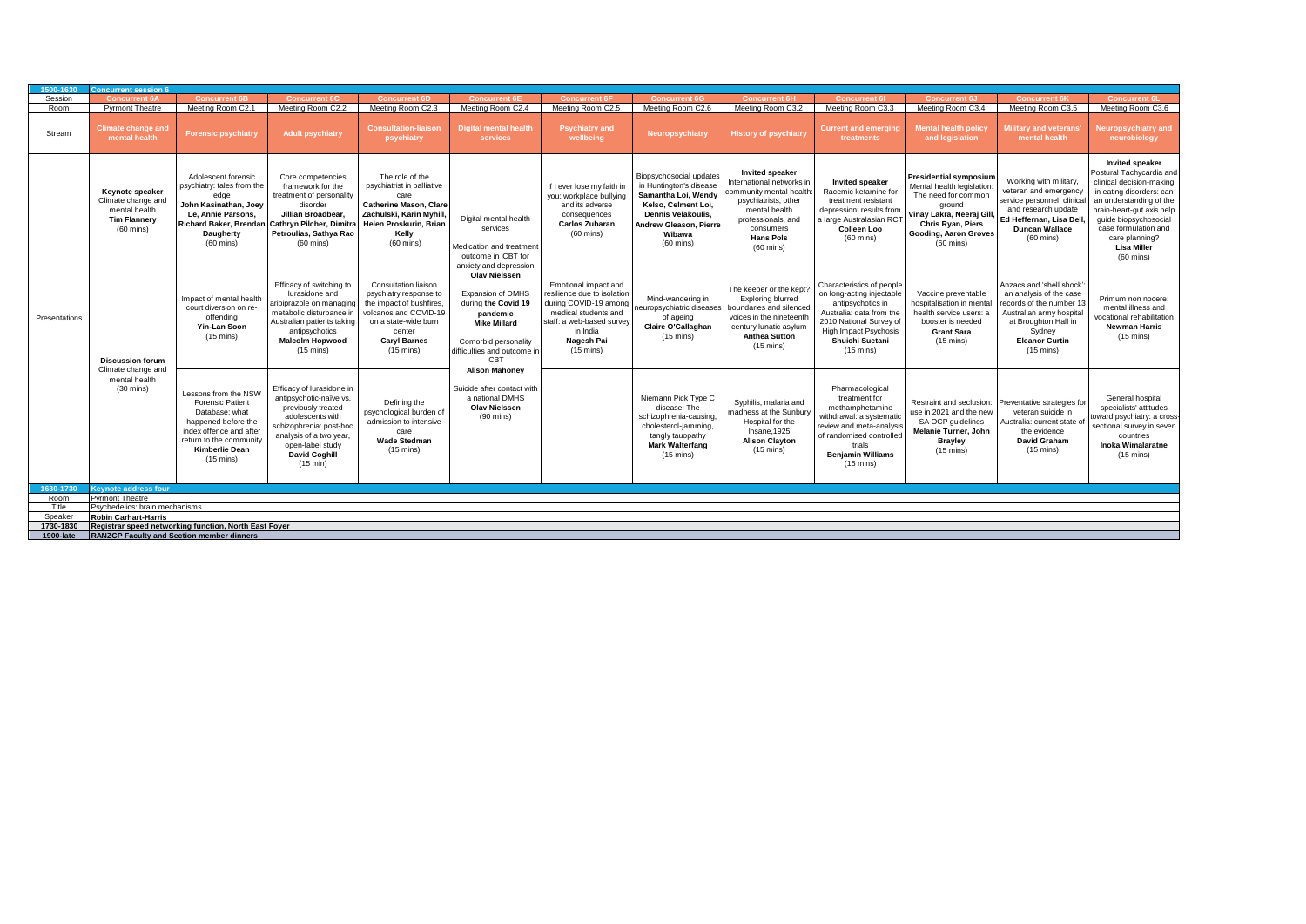| 1500-1630     | <b>Concurrent session 6</b>                                                                          |                                                                                                                                                                                                |                                                                                                                                                                                                             |                                                                                                                                                                                    |                                                                                                                                                                                  |                                                                                                                                                                                    |                                                                                                                                                                                   |                                                                                                                                                                                                      |                                                                                                                                                                                                       |                                                                                                                                                         |                                                                                                                                                                                                            |                                                                                                                                                                                                                                                                                    |
|---------------|------------------------------------------------------------------------------------------------------|------------------------------------------------------------------------------------------------------------------------------------------------------------------------------------------------|-------------------------------------------------------------------------------------------------------------------------------------------------------------------------------------------------------------|------------------------------------------------------------------------------------------------------------------------------------------------------------------------------------|----------------------------------------------------------------------------------------------------------------------------------------------------------------------------------|------------------------------------------------------------------------------------------------------------------------------------------------------------------------------------|-----------------------------------------------------------------------------------------------------------------------------------------------------------------------------------|------------------------------------------------------------------------------------------------------------------------------------------------------------------------------------------------------|-------------------------------------------------------------------------------------------------------------------------------------------------------------------------------------------------------|---------------------------------------------------------------------------------------------------------------------------------------------------------|------------------------------------------------------------------------------------------------------------------------------------------------------------------------------------------------------------|------------------------------------------------------------------------------------------------------------------------------------------------------------------------------------------------------------------------------------------------------------------------------------|
| Session       | <b>Concurrent 6/</b>                                                                                 | <b>Concurrent 6B</b>                                                                                                                                                                           | <b>Concurrent 6C</b>                                                                                                                                                                                        | <b>Concurrent 6D</b>                                                                                                                                                               | <b>Concurrent 6</b>                                                                                                                                                              | <b>Concurrent 61</b>                                                                                                                                                               | <b>Concurrent 6G</b>                                                                                                                                                              | <b>Concurrent 6H</b>                                                                                                                                                                                 | <b>Concurrent 6</b>                                                                                                                                                                                   | <b>Concurrent 6J</b>                                                                                                                                    | <b>Concurrent 6K</b>                                                                                                                                                                                       | <b>Concurrent 6</b>                                                                                                                                                                                                                                                                |
| Room          | <b>Pyrmont Theatre</b>                                                                               | Meeting Room C2.1                                                                                                                                                                              | Meeting Room C2.2                                                                                                                                                                                           | Meeting Room C2.3                                                                                                                                                                  | Meeting Room C2.4                                                                                                                                                                | Meeting Room C2.5                                                                                                                                                                  | Meeting Room C2.6                                                                                                                                                                 | Meeting Room C3.2                                                                                                                                                                                    | Meeting Room C3.3                                                                                                                                                                                     | Meeting Room C3.4                                                                                                                                       | Meeting Room C3.5                                                                                                                                                                                          | Meeting Room C3.6                                                                                                                                                                                                                                                                  |
| Stream        | <b>Climate change and</b><br>mental health                                                           | <b>Forensic psychiatry</b>                                                                                                                                                                     | <b>Adult psychiatry</b>                                                                                                                                                                                     | <b>Consultation-liaison</b><br>psychiatry                                                                                                                                          | <b>Digital mental health</b><br>services                                                                                                                                         | <b>Psychiatry and</b><br>wellbeing                                                                                                                                                 | Neuropsychiatry                                                                                                                                                                   | <b>History of psychiatry</b>                                                                                                                                                                         | <b>Current and emerging</b><br>treatments                                                                                                                                                             | Mental health polic<br>and legislation                                                                                                                  | Military and veterans<br>mental health                                                                                                                                                                     | <b>Neuropsychiatry and</b><br>neurobiology                                                                                                                                                                                                                                         |
|               | Keynote speaker<br>Climate change and<br>mental health<br><b>Tim Flannery</b><br>$(60 \text{ mins})$ | Adolescent forensic<br>psychiatry: tales from the<br>John Kasinathan, Joey<br>Le. Annie Parsons.<br><b>Richard Baker, Brendan</b><br>Daugherty<br>$(60 \text{ mins})$                          | Core competencies<br>framework for the<br>treatment of personality<br>disorder<br>Jillian Broadbear,<br>Cathryn Pilcher, Dimitra<br>Petroulias, Sathya Rao<br>$(60 \text{ mins})$                           | The role of the<br>psychiatrist in palliative<br>care<br><b>Catherine Mason, Clare</b><br>Zachulski, Karin Myhill,<br>Helen Proskurin, Brian<br>Kelly<br>$(60 \text{ mins})$       | Digital mental health<br>services<br>Medication and treatment<br>outcome in iCBT for<br>anxiety and depression                                                                   | If I ever lose my faith in<br>you: workplace bullying<br>and its adverse<br>consequences<br>Carlos Zubaran<br>$(60 \text{ mins})$                                                  | Biopsychosocial updates<br>in Huntington's disease<br>Samantha Loi, Wendy<br>Kelso, Celment Loi,<br>Dennis Velakoulis,<br>Andrew Gleason, Pierre<br>Wibawa<br>$(60 \text{ mins})$ | <b>Invited speaker</b><br>International networks in<br>ommunity mental health<br>psychiatrists, other<br>mental health<br>professionals, and<br>consumers<br><b>Hans Pols</b><br>$(60 \text{ mins})$ | <b>Invited speaker</b><br>Racemic ketamine for<br>treatment resistant<br>depression: results from<br>a large Australasian RCT<br><b>Colleen Loo</b><br>$(60 \text{ mins})$                            | <b>Presidential symposium</b><br>Mental health legislation:<br>The need for common<br>around<br>Chris Ryan, Piers<br>Gooding, Aaron Groves<br>(60 mins) | Working with military,<br>veteran and emergency<br>service personnel: clinica<br>and research update<br>Vinay Lakra, Neeraj Gill, Ed Heffernan, Lisa Dell,<br><b>Duncan Wallace</b><br>$(60 \text{ mins})$ | <b>Invited speaker</b><br>Postural Tachycardia and<br>clinical decision-making<br>in eating disorders: can<br>an understanding of the<br>brain-heart-gut axis help<br>guide biopsychosocial<br>case formulation and<br>care planning?<br><b>Lisa Miller</b><br>$(60 \text{ mins})$ |
| Presentations | <b>Discussion forum</b>                                                                              | Impact of mental health<br>court diversion on re-<br>offending<br>Yin-Lan Soon<br>$(15 \text{ mins})$                                                                                          | Efficacy of switching to<br>lurasidone and<br>aripiprazole on managing<br>metabolic disturbance in<br>Australian patients taking<br>antipsychotics<br><b>Malcolm Hopwood</b><br>$(15 \text{ mins})$         | Consultation liaison<br>psychiatry response to<br>the impact of bushfires<br>volcanos and COVID-19<br>on a state-wide burn<br>center<br><b>Caryl Barnes</b><br>$(15 \text{ mins})$ | <b>Olav Nielssen</b><br><b>Expansion of DMHS</b><br>during the Covid 19<br>pandemic<br><b>Mike Millard</b><br>Comorbid personality<br>difficulties and outcome in<br><b>iCBT</b> | Emotional impact and<br>resilience due to isolation<br>during COVID-19 among<br>medical students and<br>staff: a web-based survey<br>in India<br>Nagesh Pai<br>$(15 \text{ mins})$ | Mind-wandering in<br>europsychiatric disease:<br>of ageing<br>Claire O'Callaghan<br>$(15 \text{ mins})$                                                                           | The keeper or the kept?<br>Exploring blurred<br>boundaries and silenced<br>voices in the nineteenth<br>century lunatic asylum<br><b>Anthea Sutton</b><br>$(15 \text{ mins})$                         | Characteristics of people<br>on long-acting injectable<br>antipsychotics in<br>Australia: data from the<br>2010 National Survey of<br>High Impact Psychosis<br>Shuichi Suetani<br>$(15 \text{ mins})$ | Vaccine preventable<br>hospitalisation in mental<br>health service users: a<br>booster is needed<br><b>Grant Sara</b><br>$(15 \text{ mins})$            | Anzacs and 'shell shock'<br>an analysis of the case<br>records of the number 13<br>Australian army hospital<br>at Broughton Hall in<br>Sydney<br><b>Eleanor Curtin</b><br>$(15 \text{ mins})$              | Primum non nocere:<br>mental illness and<br>vocational rehabilitation<br><b>Newman Harris</b><br>$(15 \text{ mins})$                                                                                                                                                               |
|               | Climate change and<br>mental health<br>$(30 \text{ mins})$                                           | Lessons from the NSW<br><b>Forensic Patient</b><br>Database: what<br>happened before the<br>index offence and after<br>return to the community<br><b>Kimberlie Dean</b><br>$(15 \text{ mins})$ | Efficacy of lurasidone in<br>antipsychotic-naïve vs.<br>previously treated<br>adolescents with<br>schizophrenia: post-hoc<br>analysis of a two year<br>open-label study<br><b>David Coghill</b><br>(15 min) | Defining the<br>psychological burden of<br>admission to intensive<br>care<br><b>Wade Stedman</b><br>$(15 \text{ mins})$                                                            | <b>Alison Mahonev</b><br>Suicide after contact with<br>a national DMHS<br><b>Olav Nielssen</b><br>$(90 \text{ mins})$                                                            |                                                                                                                                                                                    | Niemann Pick Type C<br>disease: The<br>schizophrenia-causing,<br>cholesterol-jamming,<br>tangly tauopathy<br><b>Mark Walterfang</b><br>$(15 \text{ mins})$                        | Syphilis, malaria and<br>nadness at the Sunbury<br>Hospital for the<br>Insane, 1925<br><b>Alison Clayton</b><br>$(15 \text{ mins})$                                                                  | Pharmacological<br>treatment for<br>methamphetamine<br>withdrawal: a systematic<br>review and meta-analysis<br>of randomised controlled<br>trials<br><b>Benjamin Williams</b><br>$(15 \text{ mins})$  | Restraint and seclusion:<br>use in 2021 and the new<br>SA OCP quidelines<br>Melanie Turner, John<br><b>Brayley</b><br>$(15 \text{ mins})$               | Preventative strategies for<br>veteran suicide in<br>Australia: current state<br>the evidence<br><b>David Graham</b><br>$(15 \text{ mins})$                                                                | General hospital<br>specialists' attitudes<br>toward psychiatry: a cross-<br>sectional survey in seven<br>countries<br><b>Inoka Wimalaratne</b><br>$(15 \text{ mins})$                                                                                                             |
| 1630-1730     | Keynote address four                                                                                 |                                                                                                                                                                                                |                                                                                                                                                                                                             |                                                                                                                                                                                    |                                                                                                                                                                                  |                                                                                                                                                                                    |                                                                                                                                                                                   |                                                                                                                                                                                                      |                                                                                                                                                                                                       |                                                                                                                                                         |                                                                                                                                                                                                            |                                                                                                                                                                                                                                                                                    |
| Room          | <b>Pyrmont Theatre</b>                                                                               |                                                                                                                                                                                                |                                                                                                                                                                                                             |                                                                                                                                                                                    |                                                                                                                                                                                  |                                                                                                                                                                                    |                                                                                                                                                                                   |                                                                                                                                                                                                      |                                                                                                                                                                                                       |                                                                                                                                                         |                                                                                                                                                                                                            |                                                                                                                                                                                                                                                                                    |
| Title         | Psychedelics: brain mechanisms                                                                       |                                                                                                                                                                                                |                                                                                                                                                                                                             |                                                                                                                                                                                    |                                                                                                                                                                                  |                                                                                                                                                                                    |                                                                                                                                                                                   |                                                                                                                                                                                                      |                                                                                                                                                                                                       |                                                                                                                                                         |                                                                                                                                                                                                            |                                                                                                                                                                                                                                                                                    |
| Speaker       | <b>Robin Carhart-Harris</b>                                                                          |                                                                                                                                                                                                |                                                                                                                                                                                                             |                                                                                                                                                                                    |                                                                                                                                                                                  |                                                                                                                                                                                    |                                                                                                                                                                                   |                                                                                                                                                                                                      |                                                                                                                                                                                                       |                                                                                                                                                         |                                                                                                                                                                                                            |                                                                                                                                                                                                                                                                                    |
| 1730-1830     |                                                                                                      | Registrar speed networking function. North East Fover                                                                                                                                          |                                                                                                                                                                                                             |                                                                                                                                                                                    |                                                                                                                                                                                  |                                                                                                                                                                                    |                                                                                                                                                                                   |                                                                                                                                                                                                      |                                                                                                                                                                                                       |                                                                                                                                                         |                                                                                                                                                                                                            |                                                                                                                                                                                                                                                                                    |
| 1900-late     | <b>RANZCP Faculty and Section member dinners</b>                                                     |                                                                                                                                                                                                |                                                                                                                                                                                                             |                                                                                                                                                                                    |                                                                                                                                                                                  |                                                                                                                                                                                    |                                                                                                                                                                                   |                                                                                                                                                                                                      |                                                                                                                                                                                                       |                                                                                                                                                         |                                                                                                                                                                                                            |                                                                                                                                                                                                                                                                                    |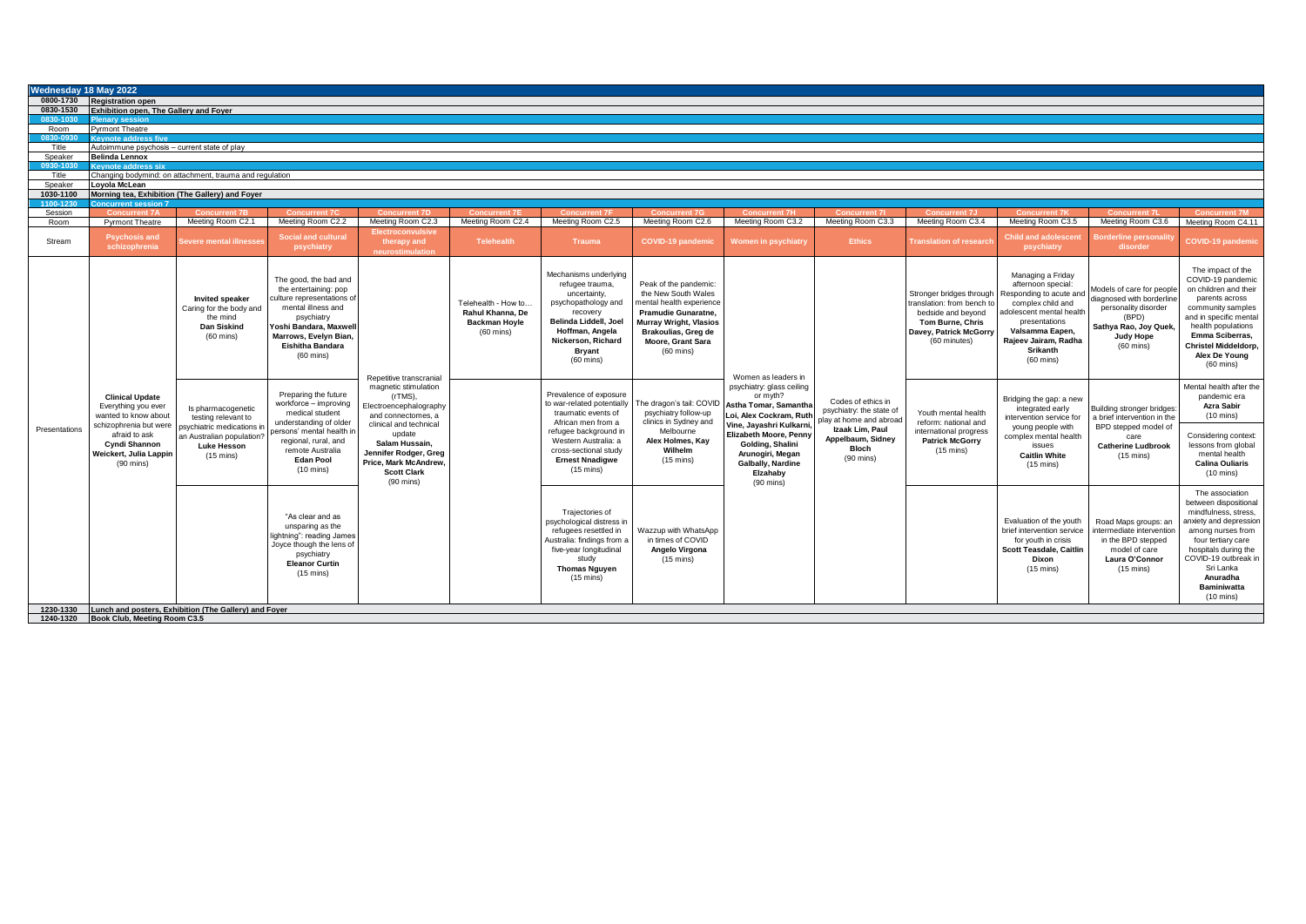| 0800-1730 Registration open<br>0830-1530<br>Exhibition open, The Gallery and Foyer<br>0830-1030<br><b>Plenary session</b><br><b>Pyrmont Theatre</b><br>Room<br>0830-0930<br><b>Keynote address five</b><br>Title<br>Autoimmune psychosis - current state of play<br>Speaker<br><b>Belinda Lennox</b><br>0930-1030<br><b>Keynote address six</b><br>Title<br>Changing bodymind: on attachment, trauma and regulation<br>Speaker<br>Loyola McLean<br>Morning tea, Exhibition (The Gallery) and Foyer<br>1030-1100<br>1100-1230<br><b>Concurrent session 7</b><br>Session<br><b>Concurrent 7A</b><br><b>Concurrent 7D</b><br><b>Concurrent 7B</b><br><b>Concurrent 7C</b><br><b>Concurrent 7F</b><br><b>Concurrent 7G</b><br><b>Concurrent 7H</b><br><b>Concurrent 71</b><br><b>Concurrent 7J</b><br><b>Concurrent 7K</b><br><b>Concurrent 7M</b><br><b>Concurrent 7F</b><br><b>Concurrent 71</b><br>Meeting Room C2.1<br>Meeting Room C2.2<br>Meeting Room C2.4<br>Meeting Room C2.5<br>Meeting Room C2.6<br>Meeting Room C3.2<br>Meeting Room C3.3<br>Meeting Room C3.4<br>Meeting Room C3.5<br>Meeting Room C3.6<br>Meeting Room C4.11<br>Room<br><b>Pyrmont Theatre</b><br>Meeting Room C2.3<br><b>Electroconvulsive</b><br><b>Social and cultural</b><br><b>Child and adolescent</b><br><b>Psychosis and</b><br>Borderline personality<br>Stream<br><b>Ethics</b><br>evere mental illnesse<br>therapy and<br><b>Telehealth</b><br><b>Trauma</b><br><b>COVID-19 pandemic</b><br><b>Translation of research</b><br><b>Women in psychiatry</b><br>schizophrenia<br>disorder<br>psychiatry<br>psychiatry<br>neurostimulation<br>Mechanisms underlying<br>Managing a Friday<br>The good, the bad and<br>Peak of the pandemic:<br>refugee trauma,<br>afternoon special:<br>Models of care for people<br>the entertaining: pop<br>uncertainty,<br>the New South Wales<br>Stronger bridges through<br>Responding to acute and<br>diagnosed with borderline<br>culture representations of<br><b>Invited speaker</b><br>parents across<br>psychopathology and<br>mental health experience<br>Telehealth - How to.<br>translation: from bench to<br>complex child and<br>mental illness and<br>personality disorder<br>Caring for the body and<br>Rahul Khanna, De<br>recovery<br>Pramudie Gunaratne,<br>bedside and beyond<br>adolescent mental health<br>(BPD)<br>psychiatry<br>the mind<br>Belinda Liddell, Joel<br><b>Murray Wright, Vlasios</b><br>presentations<br><b>Backman Hoyle</b><br>Tom Burne, Chris<br>Yoshi Bandara, Maxwell<br>Dan Siskind<br>Sathya Rao, Joy Quek.<br>Valsamma Eapen,<br>Hoffman, Angela<br>Brakoulias, Greg de<br>Davey, Patrick McGorry<br>$(60 \text{ mins})$<br><b>Emma Sciberras.</b><br>$(60 \text{ mins})$<br>Marrows, Evelyn Bian.<br><b>Judy Hope</b><br>Rajeev Jairam, Radha<br>Nickerson, Richard<br>(60 minutes)<br>Moore, Grant Sara<br>$(60 \text{ mins})$<br>Eishitha Bandara<br>$(60 \text{ mins})$<br><b>Srikanth</b><br><b>Bryant</b><br>$(60 \text{ mins})$<br>Alex De Young<br>$(60 \text{ mins})$<br>$(60$ mins)<br>$(60 \text{ mins})$<br>Women as leaders in<br>Repetitive transcranial<br>psychiatry: glass ceiling<br>magnetic stimulation<br>Preparing the future<br>Prevalence of exposure<br>or myth?<br>(rTMS).<br>pandemic era<br><b>Clinical Update</b><br>Bridging the gap: a new<br>Codes of ethics in<br>workforce - improving<br>to war-related potentially<br>The dragon's tail: COVID<br>Astha Tomar, Samantha<br>Electroencephalography<br>Azra Sabir<br>Everything you ever<br>Is pharmacogenetic<br>integrated early<br>Building stronger bridges:<br>psychiatry: the state of<br>traumatic events of<br>psychiatry follow-up<br>Youth mental health<br>medical student<br>Loi, Alex Cockram, Ruth<br>wanted to know about<br>and connectomes, a<br>$(10 \text{ mins})$<br>a brief intervention in the<br>testing relevant to<br>intervention service for<br>play at home and abroad<br>understanding of older<br>clinics in Sydney and<br>African men from a<br>reform: national and<br>clinical and technical<br>Vine, Jayashri Kulkarni,<br>schizophrenia but were<br>BPD stepped model of<br>psychiatric medications in<br>young people with<br>Izaak Lim. Paul<br>Presentations<br>persons' mental health in<br>refugee background in<br>Melbourne<br>international progress<br>Elizabeth Moore, Penny<br>update<br>afraid to ask<br>an Australian population?<br>complex mental health<br>care<br>Appelbaum, Sidney<br>regional, rural, and<br>Western Australia: a<br>Alex Holmes, Kay<br><b>Patrick McGorry</b><br>Salam Hussain.<br>Golding, Shalini<br><b>Cyndi Shannon</b><br><b>Luke Hesson</b><br>issues<br><b>Catherine Ludbrook</b><br>Bloch<br>remote Australia<br>Wilhelm<br>cross-sectional study<br>$(15 \text{ mins})$<br>Jennifer Rodger, Greg<br>Arunogiri, Megan<br>Weickert, Julia Lappin<br>mental health<br><b>Caitlin White</b><br>$(15 \text{ mins})$<br>$(15 \text{ mins})$<br>$(90 \text{ mins})$<br><b>Edan Pool</b><br><b>Ernest Nnadigwe</b><br>$(15 \text{ mins})$<br>Price. Mark McAndrew.<br>$(90$ mins)<br>Galbally, Nardine<br><b>Calina Ouliaris</b><br>$(15 \text{ mins})$<br>$(10 \text{ mins})$<br>$(15 \text{ mins})$<br><b>Scott Clark</b><br>Elzahaby<br>$(10 \text{ mins})$<br>$(90 \text{ mins})$<br>$(90$ mins)<br>The association<br>Trajectories of<br>"As clear and as<br>Evaluation of the youth<br>psychological distress in<br>Road Maps groups: an<br>unsparing as the<br>brief intervention service<br>refugees resettled in<br>Wazzup with WhatsApp<br>intermediate intervention<br>lightning": reading James<br>Australia: findings from a<br>in times of COVID<br>for youth in crisis<br>in the BPD stepped<br>four tertiary care<br>Joyce though the lens of<br>Angelo Virgona<br><b>Scott Teasdale, Caitlin</b><br>five-year longitudinal<br>model of care<br>psychiatry<br>$(15 \text{ mins})$<br>Laura O'Connor<br>study<br>Dixon<br><b>Eleanor Curtin</b><br>Sri Lanka<br><b>Thomas Nguyen</b><br>$(15 \text{ mins})$<br>$(15 \text{ mins})$<br>$(15 \text{ mins})$<br>$(15 \text{ mins})$<br>Anuradha<br><b>Baminiwatta</b><br>$(10 \text{ mins})$<br>1230-1330 Lunch and posters, Exhibition (The Gallery) and Foyer | Wednesday 18 May 2022 |  |  |  |  |  |  |                                                                                                                                                              |
|--------------------------------------------------------------------------------------------------------------------------------------------------------------------------------------------------------------------------------------------------------------------------------------------------------------------------------------------------------------------------------------------------------------------------------------------------------------------------------------------------------------------------------------------------------------------------------------------------------------------------------------------------------------------------------------------------------------------------------------------------------------------------------------------------------------------------------------------------------------------------------------------------------------------------------------------------------------------------------------------------------------------------------------------------------------------------------------------------------------------------------------------------------------------------------------------------------------------------------------------------------------------------------------------------------------------------------------------------------------------------------------------------------------------------------------------------------------------------------------------------------------------------------------------------------------------------------------------------------------------------------------------------------------------------------------------------------------------------------------------------------------------------------------------------------------------------------------------------------------------------------------------------------------------------------------------------------------------------------------------------------------------------------------------------------------------------------------------------------------------------------------------------------------------------------------------------------------------------------------------------------------------------------------------------------------------------------------------------------------------------------------------------------------------------------------------------------------------------------------------------------------------------------------------------------------------------------------------------------------------------------------------------------------------------------------------------------------------------------------------------------------------------------------------------------------------------------------------------------------------------------------------------------------------------------------------------------------------------------------------------------------------------------------------------------------------------------------------------------------------------------------------------------------------------------------------------------------------------------------------------------------------------------------------------------------------------------------------------------------------------------------------------------------------------------------------------------------------------------------------------------------------------------------------------------------------------------------------------------------------------------------------------------------------------------------------------------------------------------------------------------------------------------------------------------------------------------------------------------------------------------------------------------------------------------------------------------------------------------------------------------------------------------------------------------------------------------------------------------------------------------------------------------------------------------------------------------------------------------------------------------------------------------------------------------------------------------------------------------------------------------------------------------------------------------------------------------------------------------------------------------------------------------------------------------------------------------------------------------------------------------------------------------------------------------------------------------------------------------------------------------------------------------------------------------------------------------------------------------------------------------------------------------------------------------------------------------------------------------------------------------------------------------------------------------------------------------------------------------------------------------------------------------------------------------------------------------------------------------------------------------------------------------------------------------------------------------------------------------------------------------------------------------------------------------------------------------------------------------------------------------------------------------------------------------------------------------------------------------------------------------------------------------------------------------------------------------------------------------------------------------------------------------------------------------------------------------------------------------------------------------------------------------------------------------------------------------------------------------------------------------------------------------------------------------------------------------------------------------------------------------------------------------------------------------------------------------------------------------------------------------|-----------------------|--|--|--|--|--|--|--------------------------------------------------------------------------------------------------------------------------------------------------------------|
|                                                                                                                                                                                                                                                                                                                                                                                                                                                                                                                                                                                                                                                                                                                                                                                                                                                                                                                                                                                                                                                                                                                                                                                                                                                                                                                                                                                                                                                                                                                                                                                                                                                                                                                                                                                                                                                                                                                                                                                                                                                                                                                                                                                                                                                                                                                                                                                                                                                                                                                                                                                                                                                                                                                                                                                                                                                                                                                                                                                                                                                                                                                                                                                                                                                                                                                                                                                                                                                                                                                                                                                                                                                                                                                                                                                                                                                                                                                                                                                                                                                                                                                                                                                                                                                                                                                                                                                                                                                                                                                                                                                                                                                                                                                                                                                                                                                                                                                                                                                                                                                                                                                                                                                                                                                                                                                                                                                                                                                                                                                                                                                                                                                                                                                                                                                                                                                                                                                                                                                                                                                                                                                                                                                                                                                        |                       |  |  |  |  |  |  |                                                                                                                                                              |
|                                                                                                                                                                                                                                                                                                                                                                                                                                                                                                                                                                                                                                                                                                                                                                                                                                                                                                                                                                                                                                                                                                                                                                                                                                                                                                                                                                                                                                                                                                                                                                                                                                                                                                                                                                                                                                                                                                                                                                                                                                                                                                                                                                                                                                                                                                                                                                                                                                                                                                                                                                                                                                                                                                                                                                                                                                                                                                                                                                                                                                                                                                                                                                                                                                                                                                                                                                                                                                                                                                                                                                                                                                                                                                                                                                                                                                                                                                                                                                                                                                                                                                                                                                                                                                                                                                                                                                                                                                                                                                                                                                                                                                                                                                                                                                                                                                                                                                                                                                                                                                                                                                                                                                                                                                                                                                                                                                                                                                                                                                                                                                                                                                                                                                                                                                                                                                                                                                                                                                                                                                                                                                                                                                                                                                                        |                       |  |  |  |  |  |  |                                                                                                                                                              |
|                                                                                                                                                                                                                                                                                                                                                                                                                                                                                                                                                                                                                                                                                                                                                                                                                                                                                                                                                                                                                                                                                                                                                                                                                                                                                                                                                                                                                                                                                                                                                                                                                                                                                                                                                                                                                                                                                                                                                                                                                                                                                                                                                                                                                                                                                                                                                                                                                                                                                                                                                                                                                                                                                                                                                                                                                                                                                                                                                                                                                                                                                                                                                                                                                                                                                                                                                                                                                                                                                                                                                                                                                                                                                                                                                                                                                                                                                                                                                                                                                                                                                                                                                                                                                                                                                                                                                                                                                                                                                                                                                                                                                                                                                                                                                                                                                                                                                                                                                                                                                                                                                                                                                                                                                                                                                                                                                                                                                                                                                                                                                                                                                                                                                                                                                                                                                                                                                                                                                                                                                                                                                                                                                                                                                                                        |                       |  |  |  |  |  |  |                                                                                                                                                              |
|                                                                                                                                                                                                                                                                                                                                                                                                                                                                                                                                                                                                                                                                                                                                                                                                                                                                                                                                                                                                                                                                                                                                                                                                                                                                                                                                                                                                                                                                                                                                                                                                                                                                                                                                                                                                                                                                                                                                                                                                                                                                                                                                                                                                                                                                                                                                                                                                                                                                                                                                                                                                                                                                                                                                                                                                                                                                                                                                                                                                                                                                                                                                                                                                                                                                                                                                                                                                                                                                                                                                                                                                                                                                                                                                                                                                                                                                                                                                                                                                                                                                                                                                                                                                                                                                                                                                                                                                                                                                                                                                                                                                                                                                                                                                                                                                                                                                                                                                                                                                                                                                                                                                                                                                                                                                                                                                                                                                                                                                                                                                                                                                                                                                                                                                                                                                                                                                                                                                                                                                                                                                                                                                                                                                                                                        |                       |  |  |  |  |  |  |                                                                                                                                                              |
|                                                                                                                                                                                                                                                                                                                                                                                                                                                                                                                                                                                                                                                                                                                                                                                                                                                                                                                                                                                                                                                                                                                                                                                                                                                                                                                                                                                                                                                                                                                                                                                                                                                                                                                                                                                                                                                                                                                                                                                                                                                                                                                                                                                                                                                                                                                                                                                                                                                                                                                                                                                                                                                                                                                                                                                                                                                                                                                                                                                                                                                                                                                                                                                                                                                                                                                                                                                                                                                                                                                                                                                                                                                                                                                                                                                                                                                                                                                                                                                                                                                                                                                                                                                                                                                                                                                                                                                                                                                                                                                                                                                                                                                                                                                                                                                                                                                                                                                                                                                                                                                                                                                                                                                                                                                                                                                                                                                                                                                                                                                                                                                                                                                                                                                                                                                                                                                                                                                                                                                                                                                                                                                                                                                                                                                        |                       |  |  |  |  |  |  |                                                                                                                                                              |
|                                                                                                                                                                                                                                                                                                                                                                                                                                                                                                                                                                                                                                                                                                                                                                                                                                                                                                                                                                                                                                                                                                                                                                                                                                                                                                                                                                                                                                                                                                                                                                                                                                                                                                                                                                                                                                                                                                                                                                                                                                                                                                                                                                                                                                                                                                                                                                                                                                                                                                                                                                                                                                                                                                                                                                                                                                                                                                                                                                                                                                                                                                                                                                                                                                                                                                                                                                                                                                                                                                                                                                                                                                                                                                                                                                                                                                                                                                                                                                                                                                                                                                                                                                                                                                                                                                                                                                                                                                                                                                                                                                                                                                                                                                                                                                                                                                                                                                                                                                                                                                                                                                                                                                                                                                                                                                                                                                                                                                                                                                                                                                                                                                                                                                                                                                                                                                                                                                                                                                                                                                                                                                                                                                                                                                                        |                       |  |  |  |  |  |  |                                                                                                                                                              |
|                                                                                                                                                                                                                                                                                                                                                                                                                                                                                                                                                                                                                                                                                                                                                                                                                                                                                                                                                                                                                                                                                                                                                                                                                                                                                                                                                                                                                                                                                                                                                                                                                                                                                                                                                                                                                                                                                                                                                                                                                                                                                                                                                                                                                                                                                                                                                                                                                                                                                                                                                                                                                                                                                                                                                                                                                                                                                                                                                                                                                                                                                                                                                                                                                                                                                                                                                                                                                                                                                                                                                                                                                                                                                                                                                                                                                                                                                                                                                                                                                                                                                                                                                                                                                                                                                                                                                                                                                                                                                                                                                                                                                                                                                                                                                                                                                                                                                                                                                                                                                                                                                                                                                                                                                                                                                                                                                                                                                                                                                                                                                                                                                                                                                                                                                                                                                                                                                                                                                                                                                                                                                                                                                                                                                                                        |                       |  |  |  |  |  |  |                                                                                                                                                              |
|                                                                                                                                                                                                                                                                                                                                                                                                                                                                                                                                                                                                                                                                                                                                                                                                                                                                                                                                                                                                                                                                                                                                                                                                                                                                                                                                                                                                                                                                                                                                                                                                                                                                                                                                                                                                                                                                                                                                                                                                                                                                                                                                                                                                                                                                                                                                                                                                                                                                                                                                                                                                                                                                                                                                                                                                                                                                                                                                                                                                                                                                                                                                                                                                                                                                                                                                                                                                                                                                                                                                                                                                                                                                                                                                                                                                                                                                                                                                                                                                                                                                                                                                                                                                                                                                                                                                                                                                                                                                                                                                                                                                                                                                                                                                                                                                                                                                                                                                                                                                                                                                                                                                                                                                                                                                                                                                                                                                                                                                                                                                                                                                                                                                                                                                                                                                                                                                                                                                                                                                                                                                                                                                                                                                                                                        |                       |  |  |  |  |  |  |                                                                                                                                                              |
|                                                                                                                                                                                                                                                                                                                                                                                                                                                                                                                                                                                                                                                                                                                                                                                                                                                                                                                                                                                                                                                                                                                                                                                                                                                                                                                                                                                                                                                                                                                                                                                                                                                                                                                                                                                                                                                                                                                                                                                                                                                                                                                                                                                                                                                                                                                                                                                                                                                                                                                                                                                                                                                                                                                                                                                                                                                                                                                                                                                                                                                                                                                                                                                                                                                                                                                                                                                                                                                                                                                                                                                                                                                                                                                                                                                                                                                                                                                                                                                                                                                                                                                                                                                                                                                                                                                                                                                                                                                                                                                                                                                                                                                                                                                                                                                                                                                                                                                                                                                                                                                                                                                                                                                                                                                                                                                                                                                                                                                                                                                                                                                                                                                                                                                                                                                                                                                                                                                                                                                                                                                                                                                                                                                                                                                        |                       |  |  |  |  |  |  |                                                                                                                                                              |
|                                                                                                                                                                                                                                                                                                                                                                                                                                                                                                                                                                                                                                                                                                                                                                                                                                                                                                                                                                                                                                                                                                                                                                                                                                                                                                                                                                                                                                                                                                                                                                                                                                                                                                                                                                                                                                                                                                                                                                                                                                                                                                                                                                                                                                                                                                                                                                                                                                                                                                                                                                                                                                                                                                                                                                                                                                                                                                                                                                                                                                                                                                                                                                                                                                                                                                                                                                                                                                                                                                                                                                                                                                                                                                                                                                                                                                                                                                                                                                                                                                                                                                                                                                                                                                                                                                                                                                                                                                                                                                                                                                                                                                                                                                                                                                                                                                                                                                                                                                                                                                                                                                                                                                                                                                                                                                                                                                                                                                                                                                                                                                                                                                                                                                                                                                                                                                                                                                                                                                                                                                                                                                                                                                                                                                                        |                       |  |  |  |  |  |  |                                                                                                                                                              |
|                                                                                                                                                                                                                                                                                                                                                                                                                                                                                                                                                                                                                                                                                                                                                                                                                                                                                                                                                                                                                                                                                                                                                                                                                                                                                                                                                                                                                                                                                                                                                                                                                                                                                                                                                                                                                                                                                                                                                                                                                                                                                                                                                                                                                                                                                                                                                                                                                                                                                                                                                                                                                                                                                                                                                                                                                                                                                                                                                                                                                                                                                                                                                                                                                                                                                                                                                                                                                                                                                                                                                                                                                                                                                                                                                                                                                                                                                                                                                                                                                                                                                                                                                                                                                                                                                                                                                                                                                                                                                                                                                                                                                                                                                                                                                                                                                                                                                                                                                                                                                                                                                                                                                                                                                                                                                                                                                                                                                                                                                                                                                                                                                                                                                                                                                                                                                                                                                                                                                                                                                                                                                                                                                                                                                                                        |                       |  |  |  |  |  |  |                                                                                                                                                              |
|                                                                                                                                                                                                                                                                                                                                                                                                                                                                                                                                                                                                                                                                                                                                                                                                                                                                                                                                                                                                                                                                                                                                                                                                                                                                                                                                                                                                                                                                                                                                                                                                                                                                                                                                                                                                                                                                                                                                                                                                                                                                                                                                                                                                                                                                                                                                                                                                                                                                                                                                                                                                                                                                                                                                                                                                                                                                                                                                                                                                                                                                                                                                                                                                                                                                                                                                                                                                                                                                                                                                                                                                                                                                                                                                                                                                                                                                                                                                                                                                                                                                                                                                                                                                                                                                                                                                                                                                                                                                                                                                                                                                                                                                                                                                                                                                                                                                                                                                                                                                                                                                                                                                                                                                                                                                                                                                                                                                                                                                                                                                                                                                                                                                                                                                                                                                                                                                                                                                                                                                                                                                                                                                                                                                                                                        |                       |  |  |  |  |  |  |                                                                                                                                                              |
|                                                                                                                                                                                                                                                                                                                                                                                                                                                                                                                                                                                                                                                                                                                                                                                                                                                                                                                                                                                                                                                                                                                                                                                                                                                                                                                                                                                                                                                                                                                                                                                                                                                                                                                                                                                                                                                                                                                                                                                                                                                                                                                                                                                                                                                                                                                                                                                                                                                                                                                                                                                                                                                                                                                                                                                                                                                                                                                                                                                                                                                                                                                                                                                                                                                                                                                                                                                                                                                                                                                                                                                                                                                                                                                                                                                                                                                                                                                                                                                                                                                                                                                                                                                                                                                                                                                                                                                                                                                                                                                                                                                                                                                                                                                                                                                                                                                                                                                                                                                                                                                                                                                                                                                                                                                                                                                                                                                                                                                                                                                                                                                                                                                                                                                                                                                                                                                                                                                                                                                                                                                                                                                                                                                                                                                        |                       |  |  |  |  |  |  |                                                                                                                                                              |
|                                                                                                                                                                                                                                                                                                                                                                                                                                                                                                                                                                                                                                                                                                                                                                                                                                                                                                                                                                                                                                                                                                                                                                                                                                                                                                                                                                                                                                                                                                                                                                                                                                                                                                                                                                                                                                                                                                                                                                                                                                                                                                                                                                                                                                                                                                                                                                                                                                                                                                                                                                                                                                                                                                                                                                                                                                                                                                                                                                                                                                                                                                                                                                                                                                                                                                                                                                                                                                                                                                                                                                                                                                                                                                                                                                                                                                                                                                                                                                                                                                                                                                                                                                                                                                                                                                                                                                                                                                                                                                                                                                                                                                                                                                                                                                                                                                                                                                                                                                                                                                                                                                                                                                                                                                                                                                                                                                                                                                                                                                                                                                                                                                                                                                                                                                                                                                                                                                                                                                                                                                                                                                                                                                                                                                                        |                       |  |  |  |  |  |  |                                                                                                                                                              |
|                                                                                                                                                                                                                                                                                                                                                                                                                                                                                                                                                                                                                                                                                                                                                                                                                                                                                                                                                                                                                                                                                                                                                                                                                                                                                                                                                                                                                                                                                                                                                                                                                                                                                                                                                                                                                                                                                                                                                                                                                                                                                                                                                                                                                                                                                                                                                                                                                                                                                                                                                                                                                                                                                                                                                                                                                                                                                                                                                                                                                                                                                                                                                                                                                                                                                                                                                                                                                                                                                                                                                                                                                                                                                                                                                                                                                                                                                                                                                                                                                                                                                                                                                                                                                                                                                                                                                                                                                                                                                                                                                                                                                                                                                                                                                                                                                                                                                                                                                                                                                                                                                                                                                                                                                                                                                                                                                                                                                                                                                                                                                                                                                                                                                                                                                                                                                                                                                                                                                                                                                                                                                                                                                                                                                                                        |                       |  |  |  |  |  |  | <b>COVID-19 pandemic</b>                                                                                                                                     |
|                                                                                                                                                                                                                                                                                                                                                                                                                                                                                                                                                                                                                                                                                                                                                                                                                                                                                                                                                                                                                                                                                                                                                                                                                                                                                                                                                                                                                                                                                                                                                                                                                                                                                                                                                                                                                                                                                                                                                                                                                                                                                                                                                                                                                                                                                                                                                                                                                                                                                                                                                                                                                                                                                                                                                                                                                                                                                                                                                                                                                                                                                                                                                                                                                                                                                                                                                                                                                                                                                                                                                                                                                                                                                                                                                                                                                                                                                                                                                                                                                                                                                                                                                                                                                                                                                                                                                                                                                                                                                                                                                                                                                                                                                                                                                                                                                                                                                                                                                                                                                                                                                                                                                                                                                                                                                                                                                                                                                                                                                                                                                                                                                                                                                                                                                                                                                                                                                                                                                                                                                                                                                                                                                                                                                                                        |                       |  |  |  |  |  |  | The impact of the<br>COVID-19 pandemic<br>on children and their<br>community samples<br>and in specific mental<br>health populations<br>Christel Middeldorp, |
|                                                                                                                                                                                                                                                                                                                                                                                                                                                                                                                                                                                                                                                                                                                                                                                                                                                                                                                                                                                                                                                                                                                                                                                                                                                                                                                                                                                                                                                                                                                                                                                                                                                                                                                                                                                                                                                                                                                                                                                                                                                                                                                                                                                                                                                                                                                                                                                                                                                                                                                                                                                                                                                                                                                                                                                                                                                                                                                                                                                                                                                                                                                                                                                                                                                                                                                                                                                                                                                                                                                                                                                                                                                                                                                                                                                                                                                                                                                                                                                                                                                                                                                                                                                                                                                                                                                                                                                                                                                                                                                                                                                                                                                                                                                                                                                                                                                                                                                                                                                                                                                                                                                                                                                                                                                                                                                                                                                                                                                                                                                                                                                                                                                                                                                                                                                                                                                                                                                                                                                                                                                                                                                                                                                                                                                        |                       |  |  |  |  |  |  | Mental health after the<br>Considering context:<br>lessons from global                                                                                       |
|                                                                                                                                                                                                                                                                                                                                                                                                                                                                                                                                                                                                                                                                                                                                                                                                                                                                                                                                                                                                                                                                                                                                                                                                                                                                                                                                                                                                                                                                                                                                                                                                                                                                                                                                                                                                                                                                                                                                                                                                                                                                                                                                                                                                                                                                                                                                                                                                                                                                                                                                                                                                                                                                                                                                                                                                                                                                                                                                                                                                                                                                                                                                                                                                                                                                                                                                                                                                                                                                                                                                                                                                                                                                                                                                                                                                                                                                                                                                                                                                                                                                                                                                                                                                                                                                                                                                                                                                                                                                                                                                                                                                                                                                                                                                                                                                                                                                                                                                                                                                                                                                                                                                                                                                                                                                                                                                                                                                                                                                                                                                                                                                                                                                                                                                                                                                                                                                                                                                                                                                                                                                                                                                                                                                                                                        |                       |  |  |  |  |  |  | between dispositional<br>mindfulness, stress,<br>anxiety and depression<br>among nurses from<br>hospitals during the<br>COVID-19 outbreak in                 |
| 1240-1320 Book Club. Meeting Room C3.5                                                                                                                                                                                                                                                                                                                                                                                                                                                                                                                                                                                                                                                                                                                                                                                                                                                                                                                                                                                                                                                                                                                                                                                                                                                                                                                                                                                                                                                                                                                                                                                                                                                                                                                                                                                                                                                                                                                                                                                                                                                                                                                                                                                                                                                                                                                                                                                                                                                                                                                                                                                                                                                                                                                                                                                                                                                                                                                                                                                                                                                                                                                                                                                                                                                                                                                                                                                                                                                                                                                                                                                                                                                                                                                                                                                                                                                                                                                                                                                                                                                                                                                                                                                                                                                                                                                                                                                                                                                                                                                                                                                                                                                                                                                                                                                                                                                                                                                                                                                                                                                                                                                                                                                                                                                                                                                                                                                                                                                                                                                                                                                                                                                                                                                                                                                                                                                                                                                                                                                                                                                                                                                                                                                                                 |                       |  |  |  |  |  |  |                                                                                                                                                              |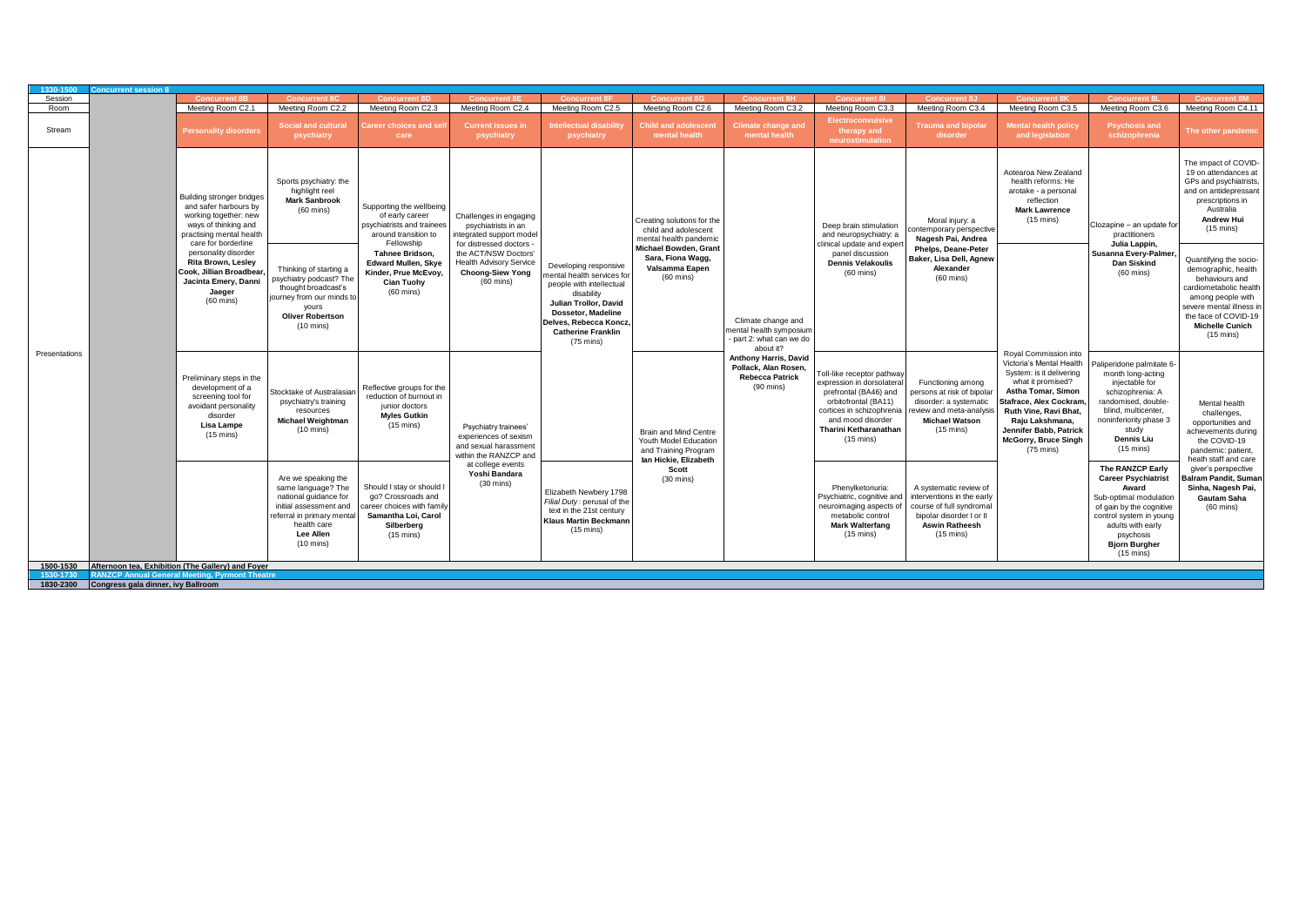| Session<br><b>Concurrent 8</b><br><b>Concurrent 8M</b><br><b>Concurrent 8B</b><br><b>Concurrent 8C</b><br><b>Concurrent 8D</b><br><b>Concurrent 8</b><br><b>Concurrent 8</b><br><b>Concurrent 8G</b><br><b>Concurrent 8H</b><br><b>Concurrent 8</b><br>Concurrent 8.<br><b>Concurrent 8K</b><br>Meeting Room C2.1<br>Meeting Room C2.2<br>Meeting Room C2.3<br>Meeting Room C2.4<br>Meeting Room C2.5<br>Meeting Room C2.6<br>Meeting Room C3.2<br>Meeting Room C3.3<br>Meeting Room C3.4<br>Meeting Room C3.5<br>Meeting Room C3.6<br>Meeting Room C4.11<br>Room<br><b>Electroconvulsive</b><br><b>Intellectual disability</b><br><b>Child and adolescent</b><br><b>Trauma and bipolar</b><br><b>Mental health policy</b><br><b>Social and cultural</b><br>areer choices and se<br><b>Current issues in</b><br><b>Climate change and</b><br><b>Psychosis and</b><br>Stream<br><b>Personality disorders</b><br>The other pandemic<br>therapy and<br>mental health<br>disorder<br>and legislation<br>mental health<br>schizophrenia<br>psychiatry<br>care<br>psychiatry<br>psychiatry<br>neurostimulation<br>The impact of COVID-<br>19 on attendances at<br>Aotearoa New Zealand<br>health reforms: He<br>GPs and psychiatrists,<br>Sports psychiatry: the<br>highlight reel<br>arotake - a personal<br>and on antidepressan<br><b>Building stronger bridges</b><br><b>Mark Sanbrook</b><br>reflection<br>prescriptions in<br>and safer harbours by<br>Supporting the wellbeing<br>Australia<br>$(60 \text{ mins})$<br><b>Mark Lawrence</b><br>of early career<br>working together: new<br>Challenges in engaging<br><b>Andrew Hui</b><br>$(15 \text{ mins})$<br>Creating solutions for the<br>Moral injury: a<br>ways of thinking and<br>psychiatrists and trainees<br>psychiatrists in an<br>Deep brain stimulation<br>Clozapine - an update for<br>$(15 \text{ mins})$<br>child and adolescent<br>ontemporary perspective<br>practising mental health<br>around transition to<br>integrated support model<br>and neuropsychiatry: a<br>practitioners<br>mental health pandemic<br>Nagesh Pai, Andrea<br>care for borderline<br>Fellowship<br>Julia Lappin,<br>for distressed doctors -<br>clinical update and expert<br>Michael Bowden, Grant<br><b>Phelps, Deane-Peter</b><br>personality disorder<br><b>Tahnee Bridson.</b><br>the ACT/NSW Doctors'<br>panel discussion<br>Susanna Every-Palmer.<br>Sara, Fiona Wagg,<br>Baker, Lisa Dell, Agnew<br>Quantifying the socio-<br>Rita Brown, Lesley<br><b>Edward Mullen, Skye</b><br><b>Health Advisory Service</b><br><b>Dennis Velakoulis</b><br>Dan Siskind<br>Developing responsive<br>Valsamma Eapen<br>Alexander<br>Thinking of starting a<br>demographic, health<br>Cook, Jillian Broadbear.<br>Kinder, Prue McEvoy.<br><b>Choong-Siew Yong</b><br>$(60 \text{ mins})$<br>$(60 \text{ mins})$<br>nental health services fo<br>$(60 \text{ mins})$<br>$(60 \text{ mins})$<br>psychiatry podcast? The<br>behaviours and<br>Jacinta Emery, Danni<br>$(60 \text{ mins})$<br><b>Cian Tuohy</b><br>people with intellectual<br>cardiometabolic health<br>thought broadcast's<br>Jaeger<br>$(60 \text{ mins})$<br>disability<br>journey from our minds to<br>among people with<br>$(60 \text{ mins})$<br>Julian Trollor, David<br>severe mental illness i<br>yours<br>Dossetor, Madeline<br>the face of COVID-19<br><b>Oliver Robertson</b><br>Climate change and<br>Delves, Rebecca Koncz.<br><b>Michelle Cunich</b><br>$(10 \text{ mins})$<br>mental health symposium<br><b>Catherine Franklin</b><br>$(15 \text{ mins})$<br>- part 2: what can we do<br>$(75 \text{ mins})$<br>about it? |
|-----------------------------------------------------------------------------------------------------------------------------------------------------------------------------------------------------------------------------------------------------------------------------------------------------------------------------------------------------------------------------------------------------------------------------------------------------------------------------------------------------------------------------------------------------------------------------------------------------------------------------------------------------------------------------------------------------------------------------------------------------------------------------------------------------------------------------------------------------------------------------------------------------------------------------------------------------------------------------------------------------------------------------------------------------------------------------------------------------------------------------------------------------------------------------------------------------------------------------------------------------------------------------------------------------------------------------------------------------------------------------------------------------------------------------------------------------------------------------------------------------------------------------------------------------------------------------------------------------------------------------------------------------------------------------------------------------------------------------------------------------------------------------------------------------------------------------------------------------------------------------------------------------------------------------------------------------------------------------------------------------------------------------------------------------------------------------------------------------------------------------------------------------------------------------------------------------------------------------------------------------------------------------------------------------------------------------------------------------------------------------------------------------------------------------------------------------------------------------------------------------------------------------------------------------------------------------------------------------------------------------------------------------------------------------------------------------------------------------------------------------------------------------------------------------------------------------------------------------------------------------------------------------------------------------------------------------------------------------------------------------------------------------------------------------------------------------------------------------------------------------------------------------------------------------------------------------------------------------------------------------------------------------------------------------------------------------------------------------------------------------------------------------------------------------------------------------------------------------------------------------------------------------------------------------------------------------------------------------------------------------------------------|
|                                                                                                                                                                                                                                                                                                                                                                                                                                                                                                                                                                                                                                                                                                                                                                                                                                                                                                                                                                                                                                                                                                                                                                                                                                                                                                                                                                                                                                                                                                                                                                                                                                                                                                                                                                                                                                                                                                                                                                                                                                                                                                                                                                                                                                                                                                                                                                                                                                                                                                                                                                                                                                                                                                                                                                                                                                                                                                                                                                                                                                                                                                                                                                                                                                                                                                                                                                                                                                                                                                                                                                                                                                               |
|                                                                                                                                                                                                                                                                                                                                                                                                                                                                                                                                                                                                                                                                                                                                                                                                                                                                                                                                                                                                                                                                                                                                                                                                                                                                                                                                                                                                                                                                                                                                                                                                                                                                                                                                                                                                                                                                                                                                                                                                                                                                                                                                                                                                                                                                                                                                                                                                                                                                                                                                                                                                                                                                                                                                                                                                                                                                                                                                                                                                                                                                                                                                                                                                                                                                                                                                                                                                                                                                                                                                                                                                                                               |
|                                                                                                                                                                                                                                                                                                                                                                                                                                                                                                                                                                                                                                                                                                                                                                                                                                                                                                                                                                                                                                                                                                                                                                                                                                                                                                                                                                                                                                                                                                                                                                                                                                                                                                                                                                                                                                                                                                                                                                                                                                                                                                                                                                                                                                                                                                                                                                                                                                                                                                                                                                                                                                                                                                                                                                                                                                                                                                                                                                                                                                                                                                                                                                                                                                                                                                                                                                                                                                                                                                                                                                                                                                               |
|                                                                                                                                                                                                                                                                                                                                                                                                                                                                                                                                                                                                                                                                                                                                                                                                                                                                                                                                                                                                                                                                                                                                                                                                                                                                                                                                                                                                                                                                                                                                                                                                                                                                                                                                                                                                                                                                                                                                                                                                                                                                                                                                                                                                                                                                                                                                                                                                                                                                                                                                                                                                                                                                                                                                                                                                                                                                                                                                                                                                                                                                                                                                                                                                                                                                                                                                                                                                                                                                                                                                                                                                                                               |
|                                                                                                                                                                                                                                                                                                                                                                                                                                                                                                                                                                                                                                                                                                                                                                                                                                                                                                                                                                                                                                                                                                                                                                                                                                                                                                                                                                                                                                                                                                                                                                                                                                                                                                                                                                                                                                                                                                                                                                                                                                                                                                                                                                                                                                                                                                                                                                                                                                                                                                                                                                                                                                                                                                                                                                                                                                                                                                                                                                                                                                                                                                                                                                                                                                                                                                                                                                                                                                                                                                                                                                                                                                               |
| Presentations<br>Royal Commission into<br>Anthony Harris, David<br>Victoria's Mental Health<br>Paliperidone palmitate 6<br>Pollack, Alan Rosen<br>System: is it delivering<br>month long-acting<br>Toll-like receptor pathway<br><b>Rebecca Patrick</b><br>Preliminary steps in the<br>what it promised?<br>injectable for<br>expression in dorsolateral<br>Functioning among<br>development of a<br>$(90 \text{ mins})$<br>Reflective groups for the<br>Astha Tomar, Simon<br>Stocktake of Australasian<br>prefrontal (BA46) and<br>bersons at risk of bipolar<br>schizophrenia: A<br>screening tool for<br>reduction of burnout in<br>orbitofrontal (BA11)<br>disorder: a systematic<br>Stafrace, Alex Cockram<br>psychiatry's training<br>randomised, double-<br>Mental health<br>avoidant personality<br>junior doctors<br>Ruth Vine, Ravi Bhat.<br>resources<br>cortices in schizophrenia<br>eview and meta-analysis<br>blind, multicenter,<br>challenges,<br>disorder<br><b>Myles Gutkin</b><br><b>Michael Weightman</b><br>and mood disorder<br><b>Michael Watson</b><br>noninferiority phase 3<br>Raju Lakshmana,<br>opportunities and<br><b>Lisa Lampe</b><br>$(15 \text{ mins})$<br>Psychiatry trainees'<br>$(15 \text{ mins})$<br>$(10 \text{ mins})$<br>Tharini Ketharanathan<br>study<br>Jennifer Babb, Patrick<br><b>Brain and Mind Centre</b><br>achievements during<br>$(15 \text{ mins})$<br>experiences of sexism<br>$(15 \text{ mins})$<br><b>Dennis Liu</b><br><b>McGorry, Bruce Singh</b><br>the COVID-19<br>Youth Model Education<br>and sexual harassment<br>$(15 \text{ mins})$<br>$(75 \text{ mins})$<br>and Training Program<br>pandemic: patient<br>within the RANZCP and<br>lan Hickie, Elizabeth<br>heath staff and care                                                                                                                                                                                                                                                                                                                                                                                                                                                                                                                                                                                                                                                                                                                                                                                                                                                                                                                                                                                                                                                                                                                                                                                                                                                                                                                                                                                                                                                                                                                                                                                                                                                                                                                                                                                                                                                                                         |
| at college events<br>The RANZCP Early<br>giver's perspective<br>Scott<br>Yoshi Bandara<br><b>Career Psychiatrist</b><br>Are we speaking the<br><b>Balram Pandit, Suman</b><br>$(30 \text{ mins})$<br>$(30 \text{ mins})$<br>same language? The<br>Should I stay or should I<br>A systematic review of<br>Phenylketonuria:<br>Award<br>Sinha, Nagesh Pai,<br>Elizabeth Newbery 1798<br>go? Crossroads and<br>national guidance for<br>Psychiatric, cognitive and<br>interventions in the early<br>Sub-optimal modulation<br>Gautam Saha<br>Filial Duty: perusal of the<br>initial assessment and<br>career choices with family<br>course of full syndroma<br>neuroimaging aspects of<br>of gain by the cognitive<br>$(60 \text{ mins})$<br>text in the 21st century<br>Samantha Loi. Carol<br>referral in primary mental<br>metabolic control<br>bipolar disorder I or II<br>control system in young<br><b>Klaus Martin Beckmann</b><br>health care<br><b>Aswin Ratheesh</b><br>Silberberg<br><b>Mark Walterfang</b><br>adults with early<br>$(15 \text{ mins})$                                                                                                                                                                                                                                                                                                                                                                                                                                                                                                                                                                                                                                                                                                                                                                                                                                                                                                                                                                                                                                                                                                                                                                                                                                                                                                                                                                                                                                                                                                                                                                                                                                                                                                                                                                                                                                                                                                                                                                                                                                                                                                                                                                                                                                                                                                                                                                                                                                                                                                                                                                               |
| <b>Lee Allen</b><br>$(15 \text{ mins})$<br>$(15 \text{ mins})$<br>$(15 \text{ mins})$<br>psychosis<br>$(10 \text{ mins})$<br><b>Bjorn Burgher</b><br>$(15 \text{ mins})$                                                                                                                                                                                                                                                                                                                                                                                                                                                                                                                                                                                                                                                                                                                                                                                                                                                                                                                                                                                                                                                                                                                                                                                                                                                                                                                                                                                                                                                                                                                                                                                                                                                                                                                                                                                                                                                                                                                                                                                                                                                                                                                                                                                                                                                                                                                                                                                                                                                                                                                                                                                                                                                                                                                                                                                                                                                                                                                                                                                                                                                                                                                                                                                                                                                                                                                                                                                                                                                                      |
| Afternoon tea. Exhibition (The Gallery) and Fover<br>1500-1530<br><b>RANZCP Annual General Meeting, Pyrmont Theatre</b><br>1530-1730                                                                                                                                                                                                                                                                                                                                                                                                                                                                                                                                                                                                                                                                                                                                                                                                                                                                                                                                                                                                                                                                                                                                                                                                                                                                                                                                                                                                                                                                                                                                                                                                                                                                                                                                                                                                                                                                                                                                                                                                                                                                                                                                                                                                                                                                                                                                                                                                                                                                                                                                                                                                                                                                                                                                                                                                                                                                                                                                                                                                                                                                                                                                                                                                                                                                                                                                                                                                                                                                                                          |